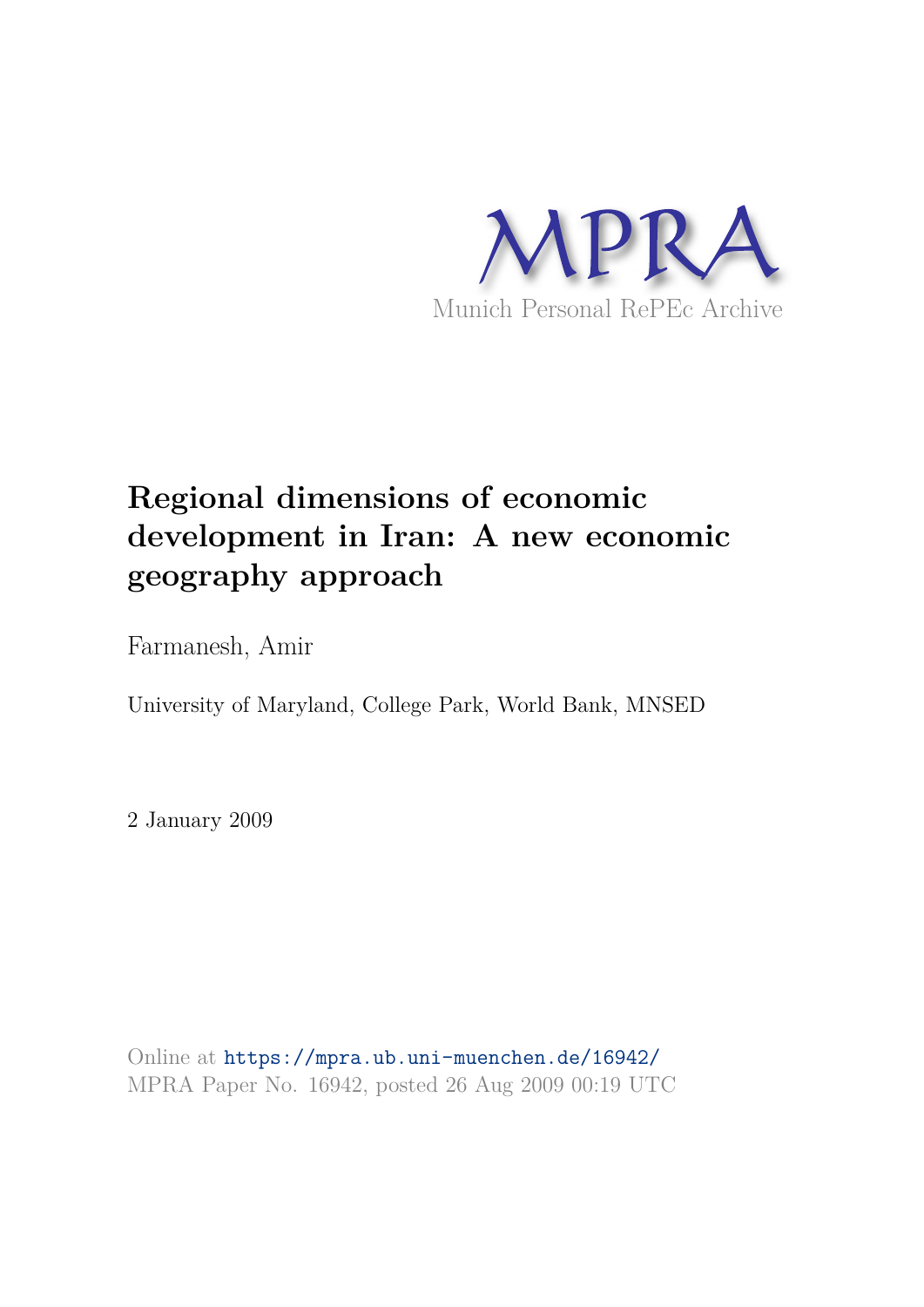

# **Regional dimensions of economic development in Iran: A new economic geography approach**

Farmanesh, Amir

University of Maryland, College Park, World Bank, MNSED

2 January 2009

Online at https://mpra.ub.uni-muenchen.de/16942/ MPRA Paper No. 16942, posted 26 Aug 2009 00:19 UTC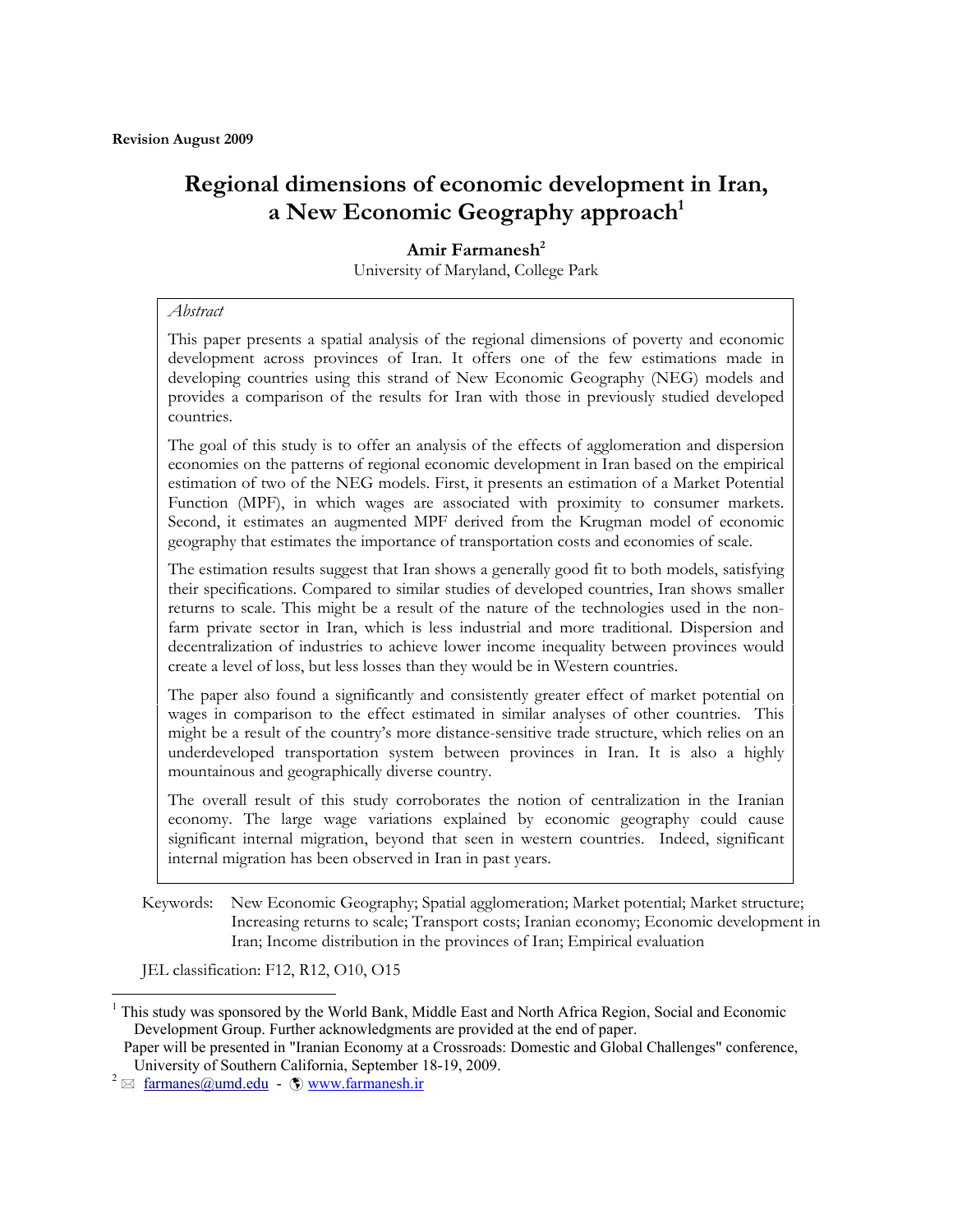# **Regional dimensions of economic development in Iran, a New Economic Geography approach<sup>1</sup>**

#### **Amir Farmanesh<sup>2</sup>** University of Maryland, College Park

#### *Abstract*

This paper presents a spatial analysis of the regional dimensions of poverty and economic development across provinces of Iran. It offers one of the few estimations made in developing countries using this strand of New Economic Geography (NEG) models and provides a comparison of the results for Iran with those in previously studied developed countries.

The goal of this study is to offer an analysis of the effects of agglomeration and dispersion economies on the patterns of regional economic development in Iran based on the empirical estimation of two of the NEG models. First, it presents an estimation of a Market Potential Function (MPF), in which wages are associated with proximity to consumer markets. Second, it estimates an augmented MPF derived from the Krugman model of economic geography that estimates the importance of transportation costs and economies of scale.

The estimation results suggest that Iran shows a generally good fit to both models, satisfying their specifications. Compared to similar studies of developed countries, Iran shows smaller returns to scale. This might be a result of the nature of the technologies used in the nonfarm private sector in Iran, which is less industrial and more traditional. Dispersion and decentralization of industries to achieve lower income inequality between provinces would create a level of loss, but less losses than they would be in Western countries.

The paper also found a significantly and consistently greater effect of market potential on wages in comparison to the effect estimated in similar analyses of other countries. This might be a result of the country's more distance-sensitive trade structure, which relies on an underdeveloped transportation system between provinces in Iran. It is also a highly mountainous and geographically diverse country.

The overall result of this study corroborates the notion of centralization in the Iranian economy. The large wage variations explained by economic geography could cause significant internal migration, beyond that seen in western countries. Indeed, significant internal migration has been observed in Iran in past years.

Keywords: New Economic Geography; Spatial agglomeration; Market potential; Market structure; Increasing returns to scale; Transport costs; Iranian economy; Economic development in Iran; Income distribution in the provinces of Iran; Empirical evaluation

JEL classification: F12, R12, O10, O15

 $\overline{a}$ 

<sup>&</sup>lt;sup>1</sup> This study was sponsored by the World Bank, Middle East and North Africa Region, Social and Economic Development Group. Further acknowledgments are provided at the end of paper.

Paper will be presented in "Iranian Economy at a Crossroads: Domestic and Global Challenges" conference, University of Southern California, September 18-19, 2009.

 $2 \approx$  farmanes@umd.edu -  $\circled{w}$  www.farmanesh.ir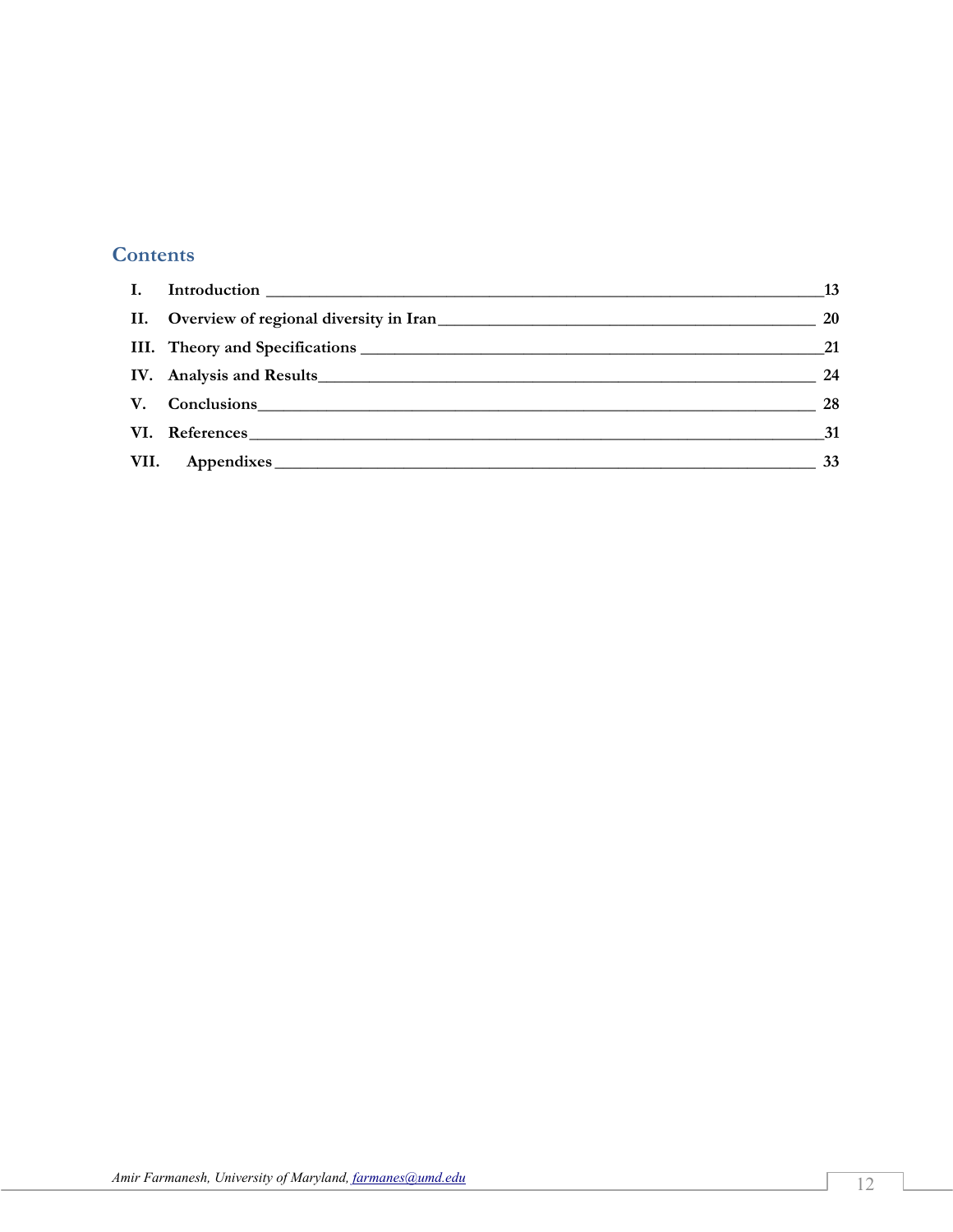# **Contents**

| $\mathbf{I}$ . |                                                                                                                                                                                                                                |    |
|----------------|--------------------------------------------------------------------------------------------------------------------------------------------------------------------------------------------------------------------------------|----|
|                | II. Overview of regional diversity in Iran                                                                                                                                                                                     | 20 |
|                |                                                                                                                                                                                                                                |    |
|                |                                                                                                                                                                                                                                | 24 |
|                | V. Conclusions expressions and the conclusions of the conclusions of the conclusions of the conclusions of the conclusions of the conclusions of the conclusions of the conclusions of the conclusions of the conclusions of t | 28 |
|                | VI. References                                                                                                                                                                                                                 | 31 |
|                | VII. Appendixes                                                                                                                                                                                                                | 33 |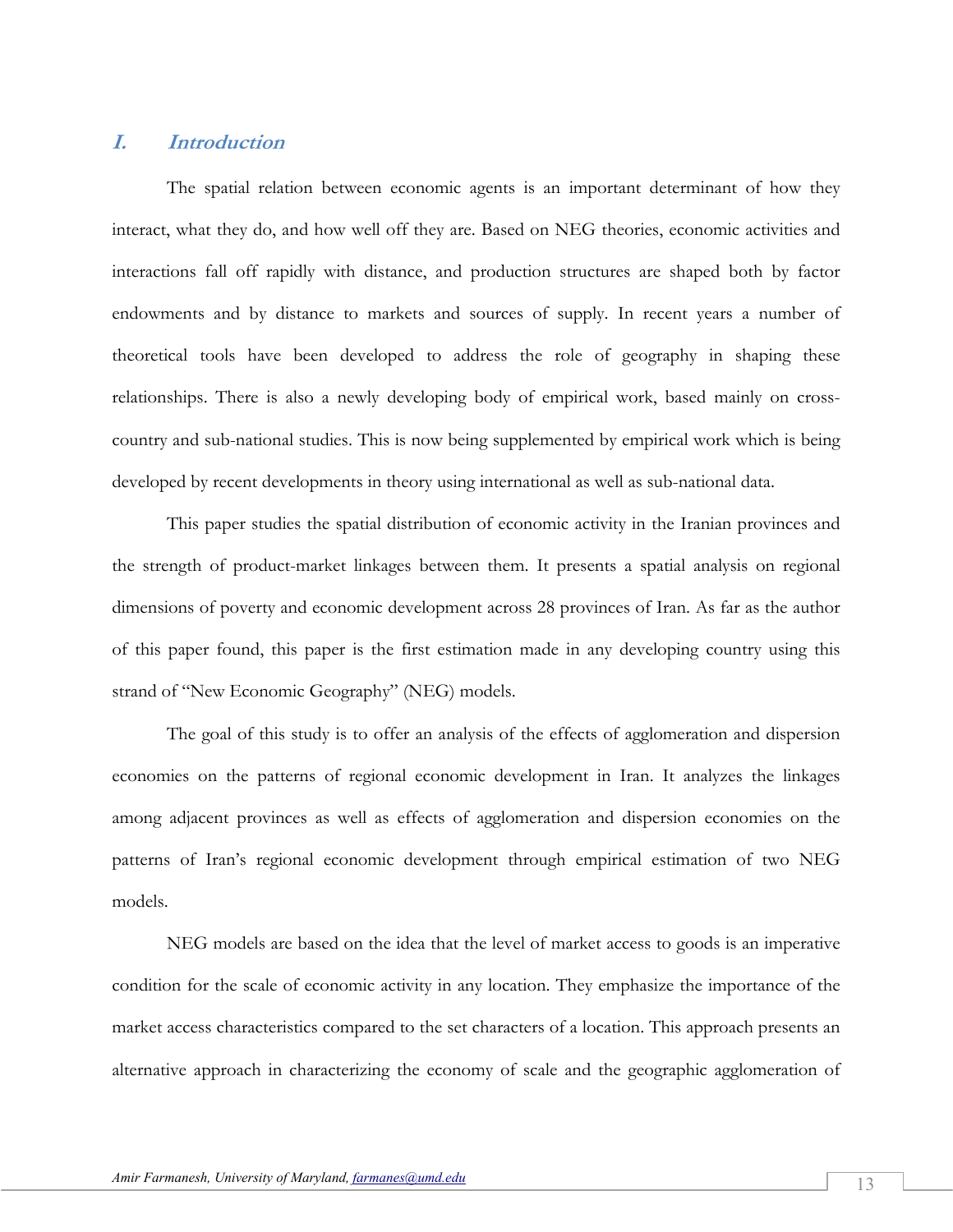## **I. Introduction**

The spatial relation between economic agents is an important determinant of how they interact, what they do, and how well off they are. Based on NEG theories, economic activities and interactions fall off rapidly with distance, and production structures are shaped both by factor endowments and by distance to markets and sources of supply. In recent years a number of theoretical tools have been developed to address the role of geography in shaping these relationships. There is also a newly developing body of empirical work, based mainly on crosscountry and sub-national studies. This is now being supplemented by empirical work which is being developed by recent developments in theory using international as well as sub-national data.

This paper studies the spatial distribution of economic activity in the Iranian provinces and the strength of product-market linkages between them. It presents a spatial analysis on regional dimensions of poverty and economic development across 28 provinces of Iran. As far as the author of this paper found, this paper is the first estimation made in any developing country using this strand of "New Economic Geography" (NEG) models.

The goal of this study is to offer an analysis of the effects of agglomeration and dispersion economies on the patterns of regional economic development in Iran. It analyzes the linkages among adjacent provinces as well as effects of agglomeration and dispersion economies on the patterns of Iran's regional economic development through empirical estimation of two NEG models.

NEG models are based on the idea that the level of market access to goods is an imperative condition for the scale of economic activity in any location. They emphasize the importance of the market access characteristics compared to the set characters of a location. This approach presents an alternative approach in characterizing the economy of scale and the geographic agglomeration of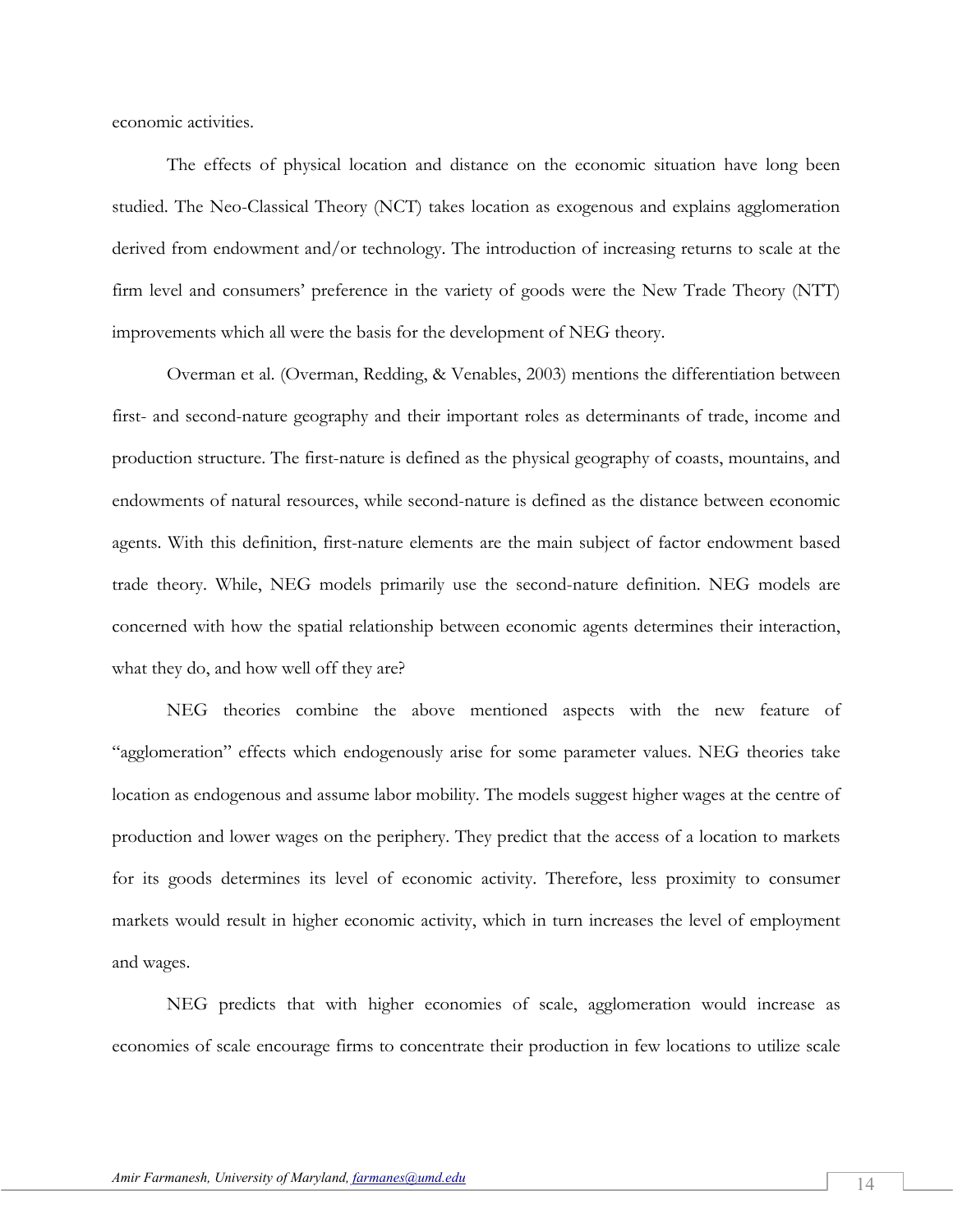economic activities.

The effects of physical location and distance on the economic situation have long been studied. The Neo-Classical Theory (NCT) takes location as exogenous and explains agglomeration derived from endowment and/or technology. The introduction of increasing returns to scale at the firm level and consumers' preference in the variety of goods were the New Trade Theory (NTT) improvements which all were the basis for the development of NEG theory.

Overman et al. (Overman, Redding, & Venables, 2003) mentions the differentiation between first- and second-nature geography and their important roles as determinants of trade, income and production structure. The first-nature is defined as the physical geography of coasts, mountains, and endowments of natural resources, while second-nature is defined as the distance between economic agents. With this definition, first-nature elements are the main subject of factor endowment based trade theory. While, NEG models primarily use the second-nature definition. NEG models are concerned with how the spatial relationship between economic agents determines their interaction, what they do, and how well off they are?

NEG theories combine the above mentioned aspects with the new feature of "agglomeration" effects which endogenously arise for some parameter values. NEG theories take location as endogenous and assume labor mobility. The models suggest higher wages at the centre of production and lower wages on the periphery. They predict that the access of a location to markets for its goods determines its level of economic activity. Therefore, less proximity to consumer markets would result in higher economic activity, which in turn increases the level of employment and wages.

NEG predicts that with higher economies of scale, agglomeration would increase as economies of scale encourage firms to concentrate their production in few locations to utilize scale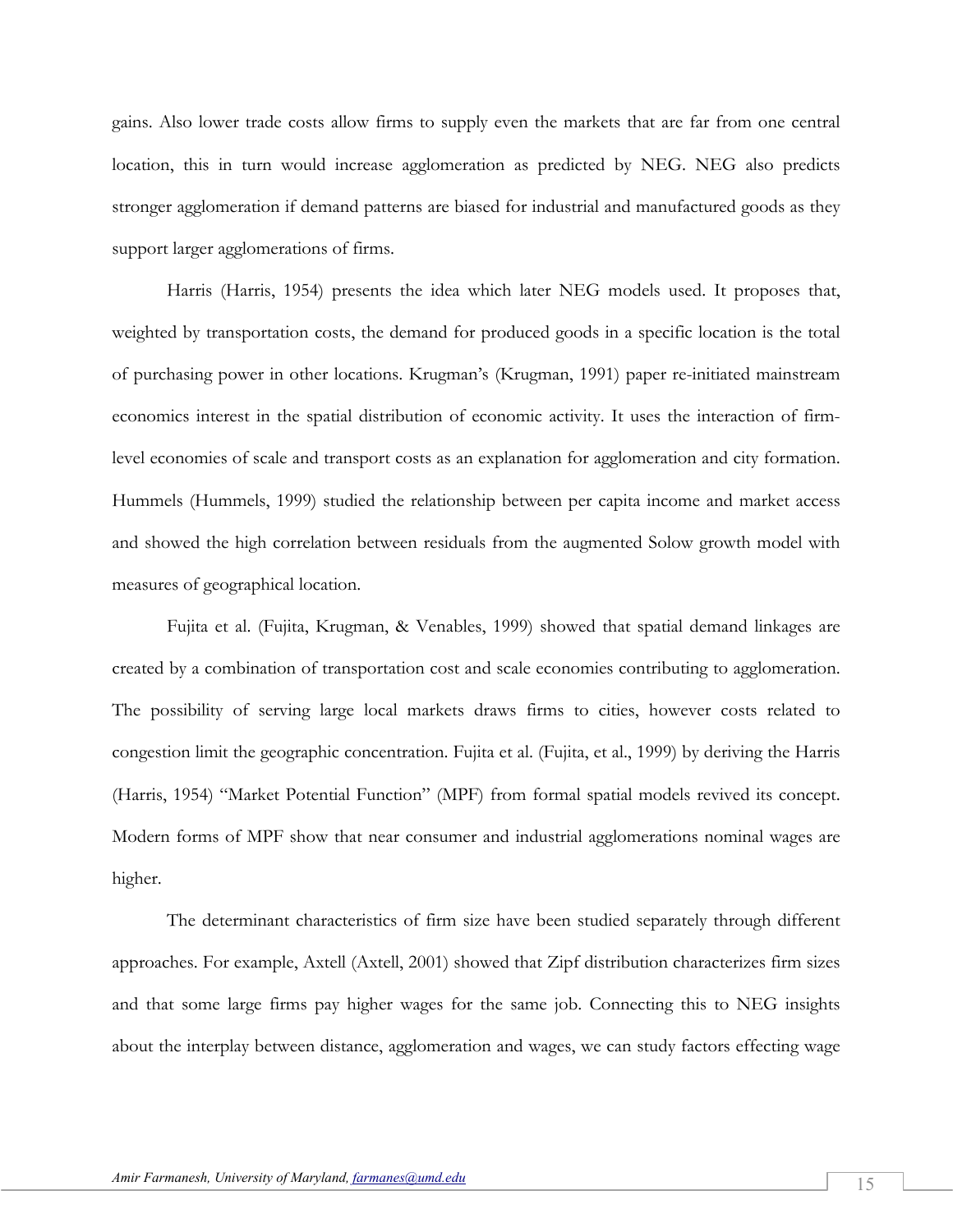gains. Also lower trade costs allow firms to supply even the markets that are far from one central location, this in turn would increase agglomeration as predicted by NEG. NEG also predicts stronger agglomeration if demand patterns are biased for industrial and manufactured goods as they support larger agglomerations of firms.

Harris (Harris, 1954) presents the idea which later NEG models used. It proposes that, weighted by transportation costs, the demand for produced goods in a specific location is the total of purchasing power in other locations. Krugman's (Krugman, 1991) paper re-initiated mainstream economics interest in the spatial distribution of economic activity. It uses the interaction of firmlevel economies of scale and transport costs as an explanation for agglomeration and city formation. Hummels (Hummels, 1999) studied the relationship between per capita income and market access and showed the high correlation between residuals from the augmented Solow growth model with measures of geographical location.

Fujita et al. (Fujita, Krugman, & Venables, 1999) showed that spatial demand linkages are created by a combination of transportation cost and scale economies contributing to agglomeration. The possibility of serving large local markets draws firms to cities, however costs related to congestion limit the geographic concentration. Fujita et al. (Fujita, et al., 1999) by deriving the Harris (Harris, 1954) "Market Potential Function" (MPF) from formal spatial models revived its concept. Modern forms of MPF show that near consumer and industrial agglomerations nominal wages are higher.

The determinant characteristics of firm size have been studied separately through different approaches. For example, Axtell (Axtell, 2001) showed that Zipf distribution characterizes firm sizes and that some large firms pay higher wages for the same job. Connecting this to NEG insights about the interplay between distance, agglomeration and wages, we can study factors effecting wage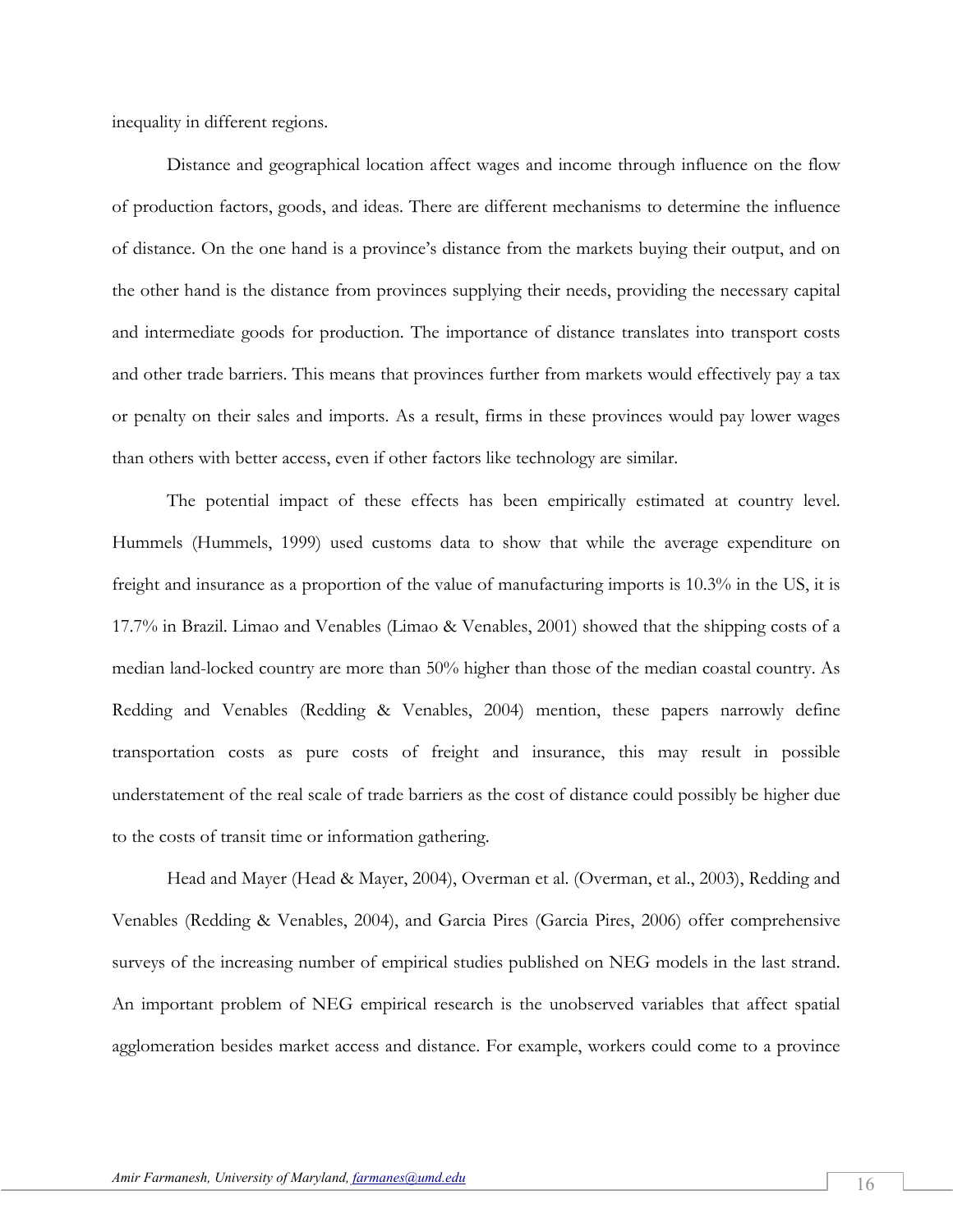inequality in different regions.

Distance and geographical location affect wages and income through influence on the flow of production factors, goods, and ideas. There are different mechanisms to determine the influence of distance. On the one hand is a province's distance from the markets buying their output, and on the other hand is the distance from provinces supplying their needs, providing the necessary capital and intermediate goods for production. The importance of distance translates into transport costs and other trade barriers. This means that provinces further from markets would effectively pay a tax or penalty on their sales and imports. As a result, firms in these provinces would pay lower wages than others with better access, even if other factors like technology are similar.

The potential impact of these effects has been empirically estimated at country level. Hummels (Hummels, 1999) used customs data to show that while the average expenditure on freight and insurance as a proportion of the value of manufacturing imports is 10.3% in the US, it is 17.7% in Brazil. Limao and Venables (Limao & Venables, 2001) showed that the shipping costs of a median land-locked country are more than 50% higher than those of the median coastal country. As Redding and Venables (Redding & Venables, 2004) mention, these papers narrowly define transportation costs as pure costs of freight and insurance, this may result in possible understatement of the real scale of trade barriers as the cost of distance could possibly be higher due to the costs of transit time or information gathering.

Head and Mayer (Head & Mayer, 2004), Overman et al. (Overman, et al., 2003), Redding and Venables (Redding & Venables, 2004), and Garcia Pires (Garcia Pires, 2006) offer comprehensive surveys of the increasing number of empirical studies published on NEG models in the last strand. An important problem of NEG empirical research is the unobserved variables that affect spatial agglomeration besides market access and distance. For example, workers could come to a province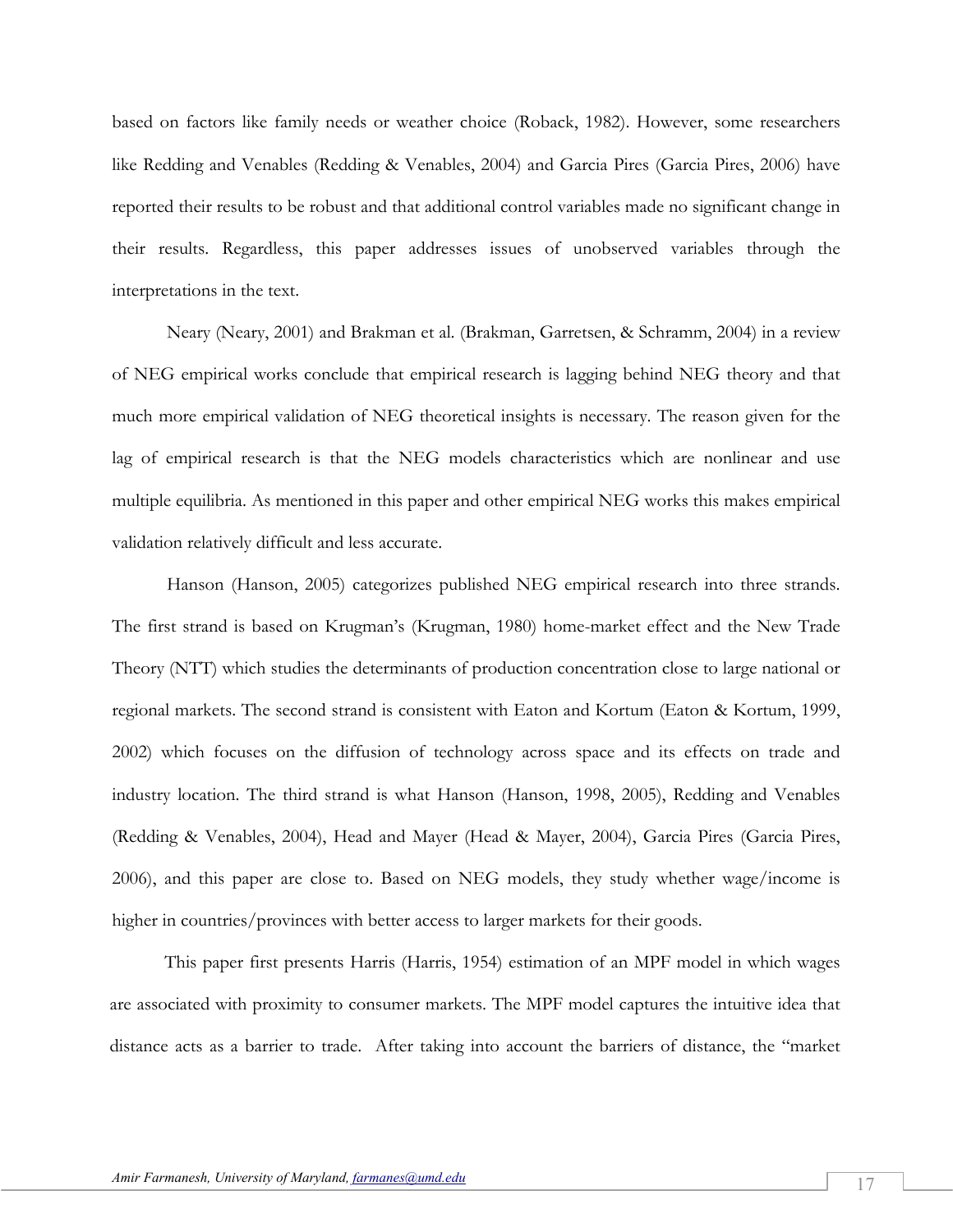based on factors like family needs or weather choice (Roback, 1982). However, some researchers like Redding and Venables (Redding & Venables, 2004) and Garcia Pires (Garcia Pires, 2006) have reported their results to be robust and that additional control variables made no significant change in their results. Regardless, this paper addresses issues of unobserved variables through the interpretations in the text.

Neary (Neary, 2001) and Brakman et al. (Brakman, Garretsen, & Schramm, 2004) in a review of NEG empirical works conclude that empirical research is lagging behind NEG theory and that much more empirical validation of NEG theoretical insights is necessary. The reason given for the lag of empirical research is that the NEG models characteristics which are nonlinear and use multiple equilibria. As mentioned in this paper and other empirical NEG works this makes empirical validation relatively difficult and less accurate.

Hanson (Hanson, 2005) categorizes published NEG empirical research into three strands. The first strand is based on Krugman's (Krugman, 1980) home-market effect and the New Trade Theory (NTT) which studies the determinants of production concentration close to large national or regional markets. The second strand is consistent with Eaton and Kortum (Eaton & Kortum, 1999, 2002) which focuses on the diffusion of technology across space and its effects on trade and industry location. The third strand is what Hanson (Hanson, 1998, 2005), Redding and Venables (Redding & Venables, 2004), Head and Mayer (Head & Mayer, 2004), Garcia Pires (Garcia Pires, 2006), and this paper are close to. Based on NEG models, they study whether wage/income is higher in countries/provinces with better access to larger markets for their goods.

This paper first presents Harris (Harris, 1954) estimation of an MPF model in which wages are associated with proximity to consumer markets. The MPF model captures the intuitive idea that distance acts as a barrier to trade. After taking into account the barriers of distance, the "market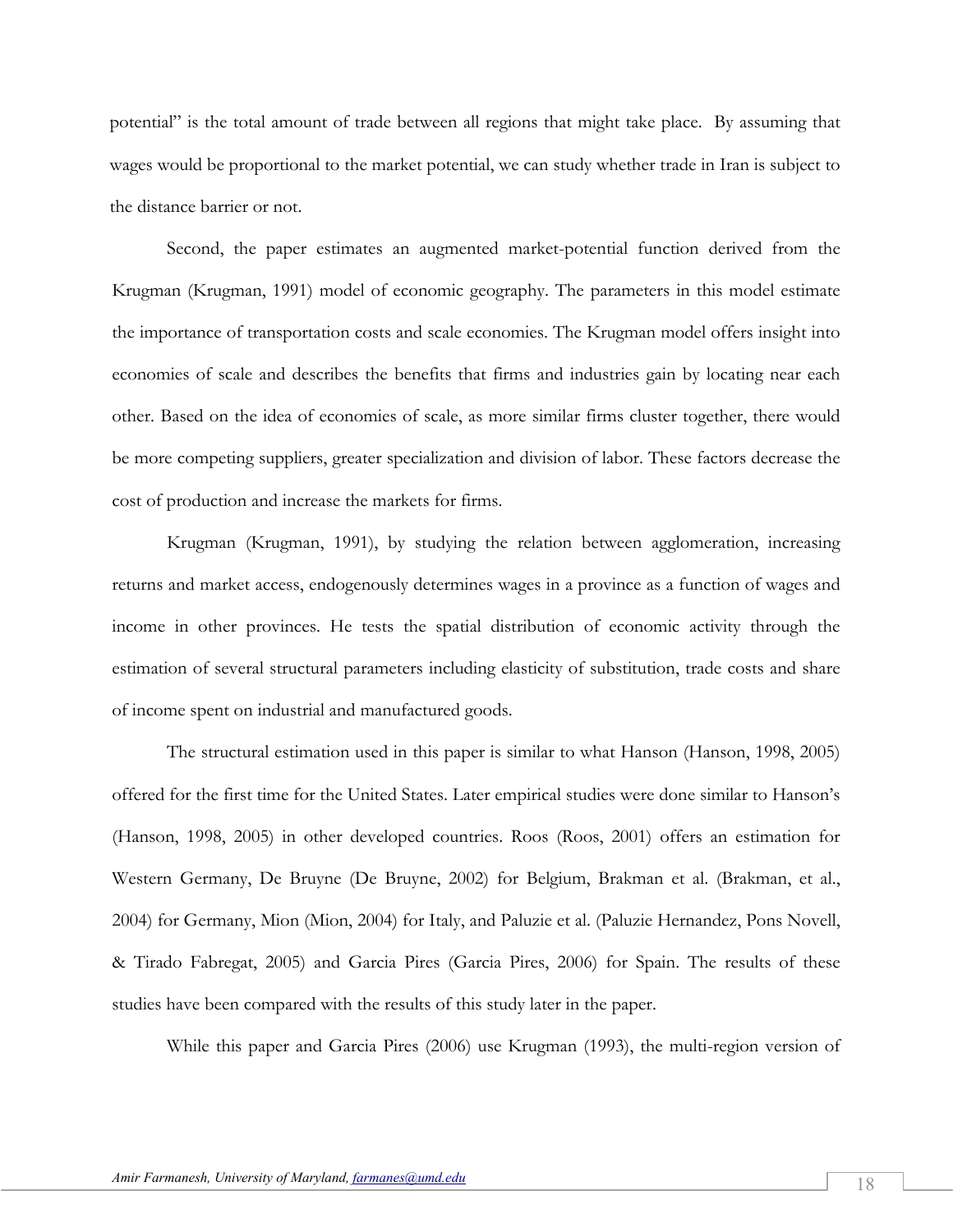potential" is the total amount of trade between all regions that might take place. By assuming that wages would be proportional to the market potential, we can study whether trade in Iran is subject to the distance barrier or not.

Second, the paper estimates an augmented market-potential function derived from the Krugman (Krugman, 1991) model of economic geography. The parameters in this model estimate the importance of transportation costs and scale economies. The Krugman model offers insight into economies of scale and describes the benefits that firms and industries gain by locating near each other. Based on the idea of economies of scale, as more similar firms cluster together, there would be more competing suppliers, greater specialization and division of labor. These factors decrease the cost of production and increase the markets for firms.

Krugman (Krugman, 1991), by studying the relation between agglomeration, increasing returns and market access, endogenously determines wages in a province as a function of wages and income in other provinces. He tests the spatial distribution of economic activity through the estimation of several structural parameters including elasticity of substitution, trade costs and share of income spent on industrial and manufactured goods.

The structural estimation used in this paper is similar to what Hanson (Hanson, 1998, 2005) offered for the first time for the United States. Later empirical studies were done similar to Hanson's (Hanson, 1998, 2005) in other developed countries. Roos (Roos, 2001) offers an estimation for Western Germany, De Bruyne (De Bruyne, 2002) for Belgium, Brakman et al. (Brakman, et al., 2004) for Germany, Mion (Mion, 2004) for Italy, and Paluzie et al. (Paluzie Hernandez, Pons Novell, & Tirado Fabregat, 2005) and Garcia Pires (Garcia Pires, 2006) for Spain. The results of these studies have been compared with the results of this study later in the paper.

While this paper and Garcia Pires (2006) use Krugman (1993), the multi-region version of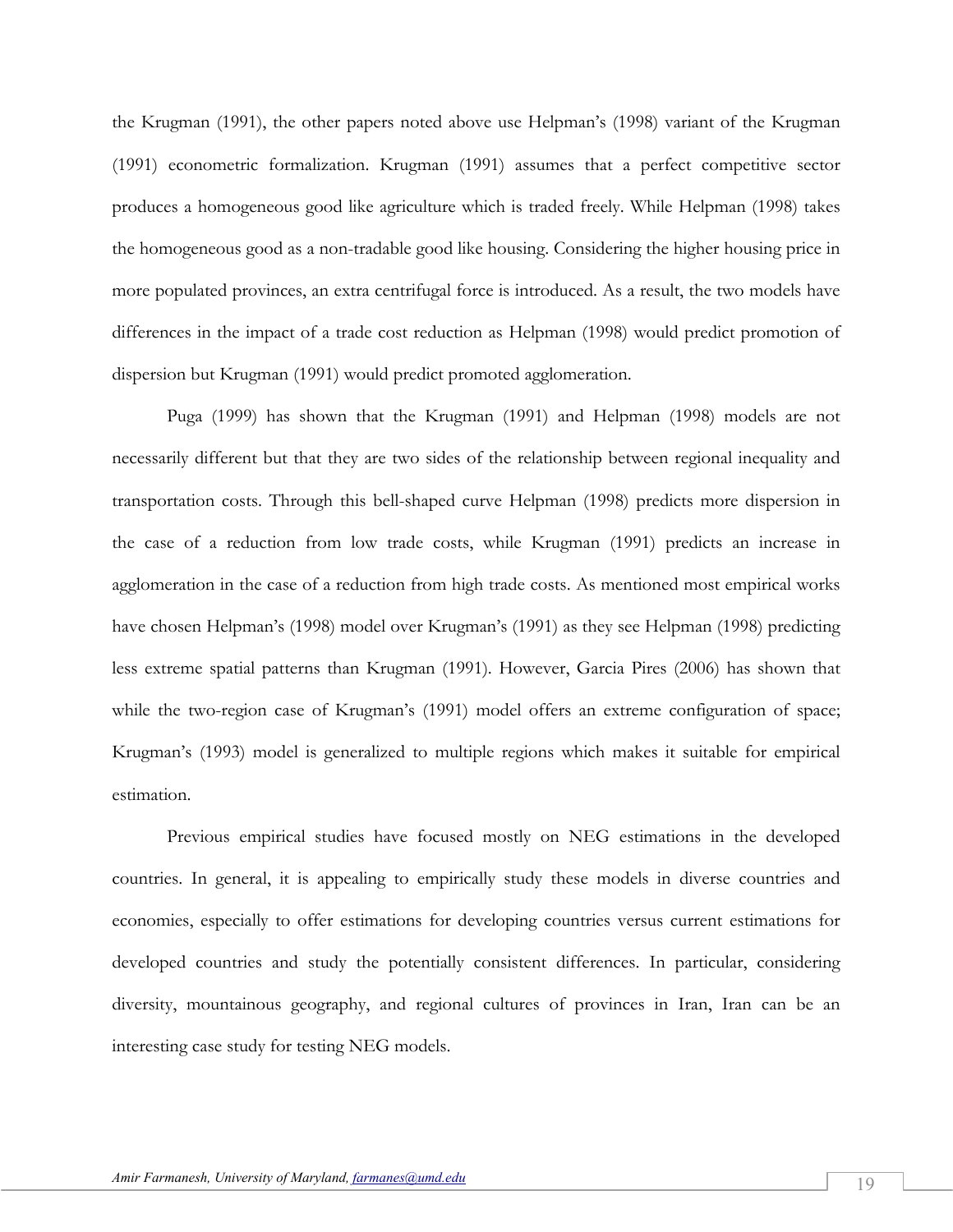the Krugman (1991), the other papers noted above use Helpman's (1998) variant of the Krugman (1991) econometric formalization. Krugman (1991) assumes that a perfect competitive sector produces a homogeneous good like agriculture which is traded freely. While Helpman (1998) takes the homogeneous good as a non-tradable good like housing. Considering the higher housing price in more populated provinces, an extra centrifugal force is introduced. As a result, the two models have differences in the impact of a trade cost reduction as Helpman (1998) would predict promotion of dispersion but Krugman (1991) would predict promoted agglomeration.

Puga (1999) has shown that the Krugman (1991) and Helpman (1998) models are not necessarily different but that they are two sides of the relationship between regional inequality and transportation costs. Through this bell-shaped curve Helpman (1998) predicts more dispersion in the case of a reduction from low trade costs, while Krugman (1991) predicts an increase in agglomeration in the case of a reduction from high trade costs. As mentioned most empirical works have chosen Helpman's (1998) model over Krugman's (1991) as they see Helpman (1998) predicting less extreme spatial patterns than Krugman (1991). However, Garcia Pires (2006) has shown that while the two-region case of Krugman's (1991) model offers an extreme configuration of space; Krugman's (1993) model is generalized to multiple regions which makes it suitable for empirical estimation.

Previous empirical studies have focused mostly on NEG estimations in the developed countries. In general, it is appealing to empirically study these models in diverse countries and economies, especially to offer estimations for developing countries versus current estimations for developed countries and study the potentially consistent differences. In particular, considering diversity, mountainous geography, and regional cultures of provinces in Iran, Iran can be an interesting case study for testing NEG models.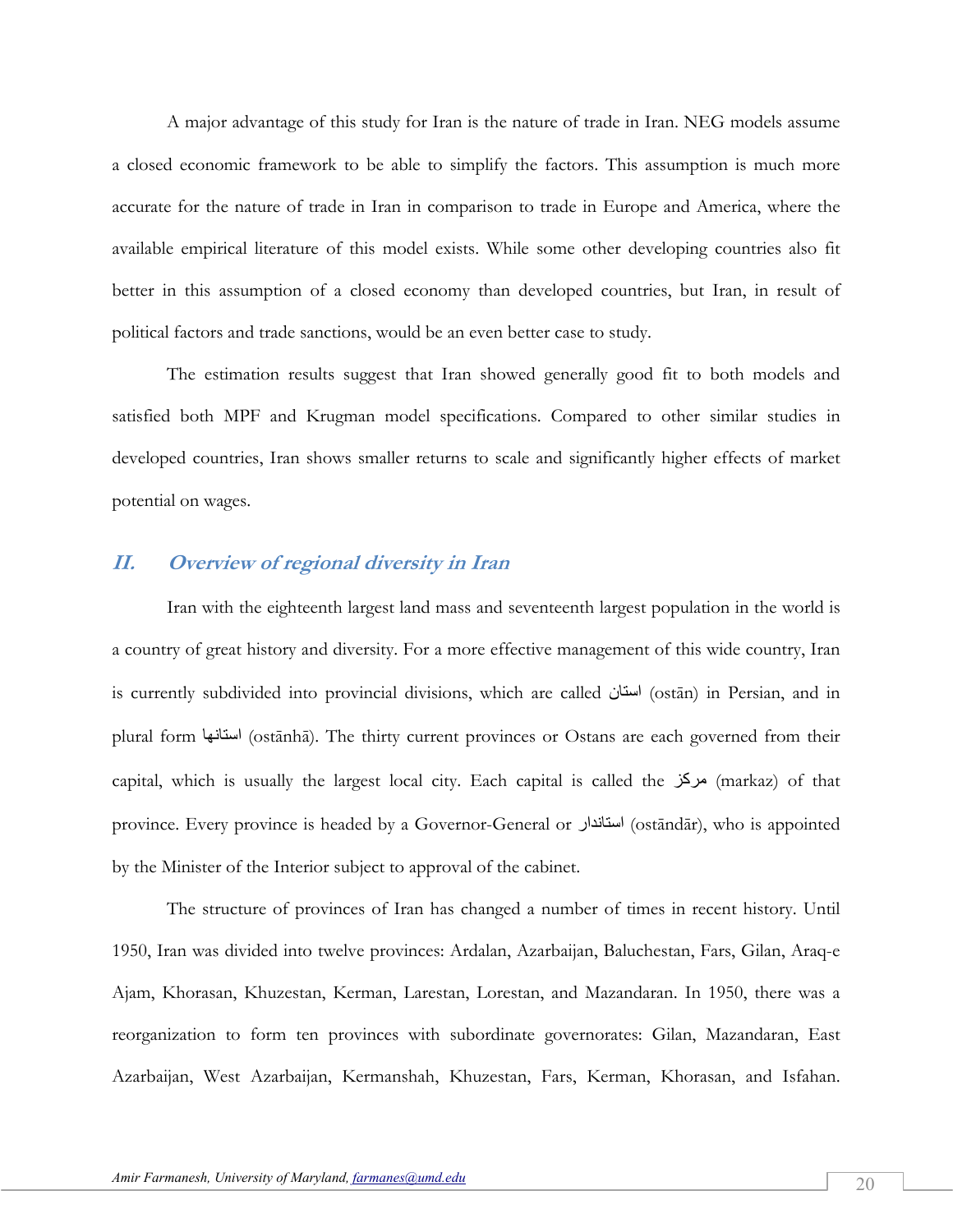A major advantage of this study for Iran is the nature of trade in Iran. NEG models assume a closed economic framework to be able to simplify the factors. This assumption is much more accurate for the nature of trade in Iran in comparison to trade in Europe and America, where the available empirical literature of this model exists. While some other developing countries also fit better in this assumption of a closed economy than developed countries, but Iran, in result of political factors and trade sanctions, would be an even better case to study.

The estimation results suggest that Iran showed generally good fit to both models and satisfied both MPF and Krugman model specifications. Compared to other similar studies in developed countries, Iran shows smaller returns to scale and significantly higher effects of market potential on wages.

### **II. Overview of regional diversity in Iran**

Iran with the eighteenth largest land mass and seventeenth largest population in the world is a country of great history and diversity. For a more effective management of this wide country, Iran is currently subdivided into provincial divisions, which are called استان (ostān) in Persian, and in plural form استانها) ostānhā). The thirty current provinces or Ostans are each governed from their capital, which is usually the largest local city. Each capital is called the مرکز (markaz) of that province. Every province is headed by a Governor-General or استاندار) (ostāndār), who is appointed by the Minister of the Interior subject to approval of the cabinet.

The structure of provinces of Iran has changed a number of times in recent history. Until 1950, Iran was divided into twelve provinces: Ardalan, Azarbaijan, Baluchestan, Fars, Gilan, Araq-e Ajam, Khorasan, Khuzestan, Kerman, Larestan, Lorestan, and Mazandaran. In 1950, there was a reorganization to form ten provinces with subordinate governorates: Gilan, Mazandaran, East Azarbaijan, West Azarbaijan, Kermanshah, Khuzestan, Fars, Kerman, Khorasan, and Isfahan.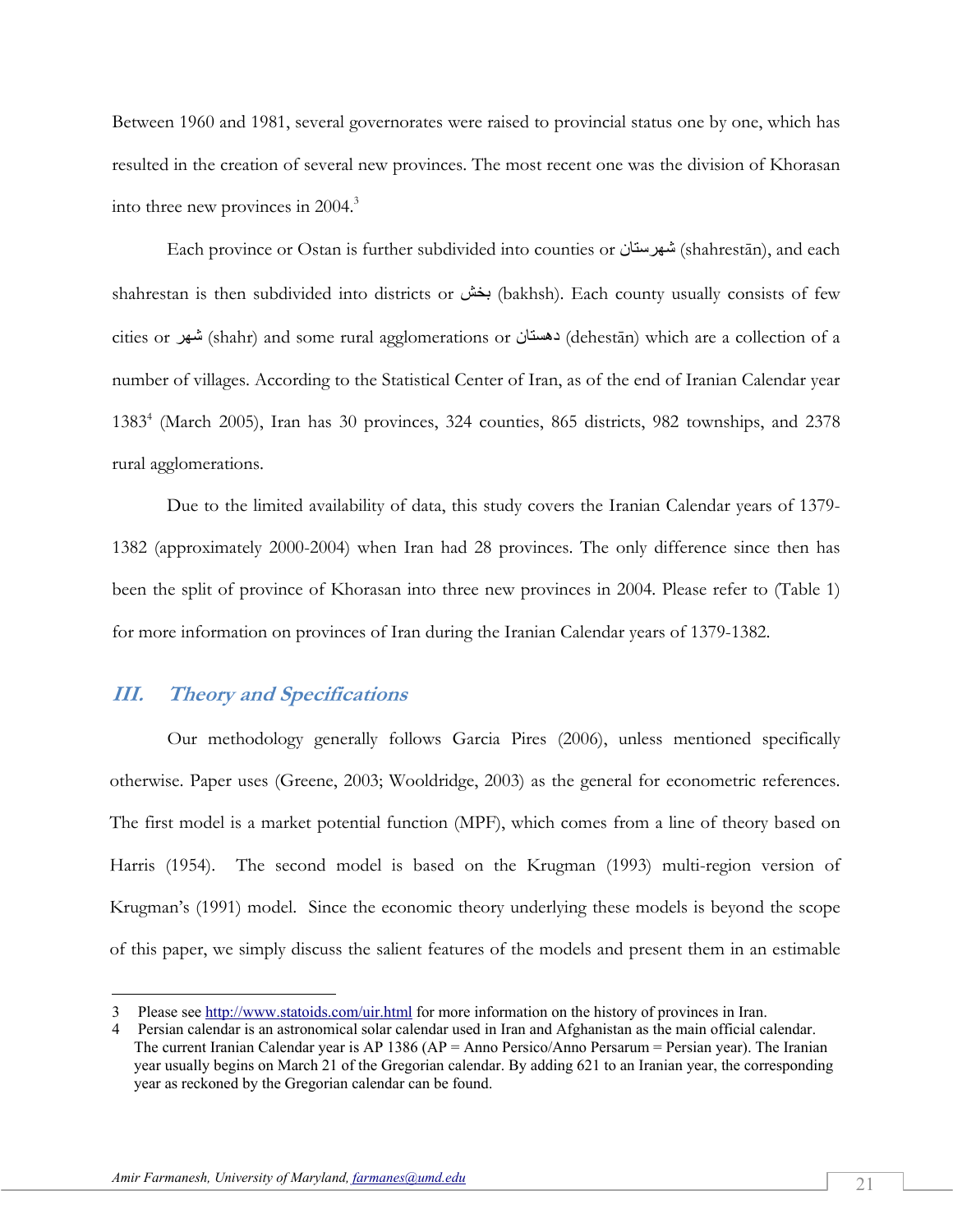Between 1960 and 1981, several governorates were raised to provincial status one by one, which has resulted in the creation of several new provinces. The most recent one was the division of Khorasan into three new provinces in 2004.<sup>3</sup>

Each province or Ostan is further subdivided into counties or شهرستان) shahrestān), and each shahrestan is then subdivided into districts or بخش) bakhsh). Each county usually consists of few cities or شهر) shahr) and some rural agglomerations or دهستان) dehestān) which are a collection of a number of villages. According to the Statistical Center of Iran, as of the end of Iranian Calendar year 1383<sup>4</sup> (March 2005), Iran has 30 provinces, 324 counties, 865 districts, 982 townships, and 2378 rural agglomerations.

Due to the limited availability of data, this study covers the Iranian Calendar years of 1379- 1382 (approximately 2000-2004) when Iran had 28 provinces. The only difference since then has been the split of province of Khorasan into three new provinces in 2004. Please refer to (Table 1) for more information on provinces of Iran during the Iranian Calendar years of 1379-1382.

# **III. Theory and Specifications**

 $\overline{a}$ 

 Our methodology generally follows Garcia Pires (2006), unless mentioned specifically otherwise. Paper uses (Greene, 2003; Wooldridge, 2003) as the general for econometric references. The first model is a market potential function (MPF), which comes from a line of theory based on Harris (1954). The second model is based on the Krugman (1993) multi-region version of Krugman's (1991) model. Since the economic theory underlying these models is beyond the scope of this paper, we simply discuss the salient features of the models and present them in an estimable

<sup>3</sup> Please see http://www.statoids.com/uir.html for more information on the history of provinces in Iran.

<sup>4</sup> Persian calendar is an astronomical solar calendar used in Iran and Afghanistan as the main official calendar. The current Iranian Calendar year is AP 1386 (AP = Anno Persico/Anno Persarum = Persian year). The Iranian year usually begins on March 21 of the Gregorian calendar. By adding 621 to an Iranian year, the corresponding year as reckoned by the Gregorian calendar can be found.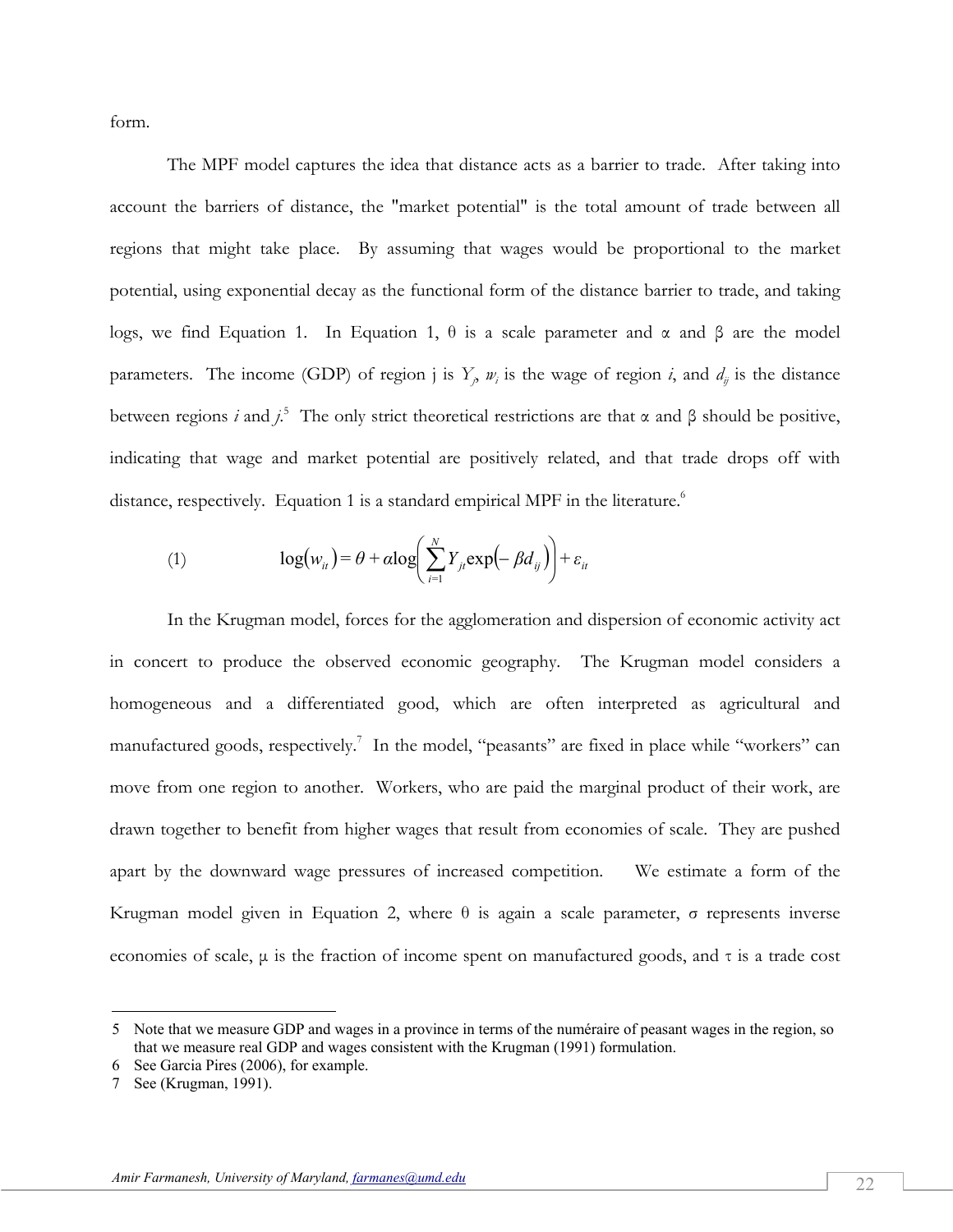form.

 The MPF model captures the idea that distance acts as a barrier to trade. After taking into account the barriers of distance, the "market potential" is the total amount of trade between all regions that might take place. By assuming that wages would be proportional to the market potential, using exponential decay as the functional form of the distance barrier to trade, and taking logs, we find Equation 1. In Equation 1,  $θ$  is a scale parameter and  $α$  and  $β$  are the model parameters. The income (GDP) of region *j* is  $Y_j$ ,  $w_i$  is the wage of region *i*, and  $d_{ij}$  is the distance between regions *i* and  $j^5$ . The only strict theoretical restrictions are that  $\alpha$  and  $\beta$  should be positive, indicating that wage and market potential are positively related, and that trade drops off with distance, respectively. Equation 1 is a standard empirical MPF in the literature.<sup>6</sup>

(1) 
$$
\log(w_{ii}) = \theta + \alpha \log \left( \sum_{i=1}^{N} Y_{ji} \exp \left( -\beta d_{ij} \right) \right) + \varepsilon_{ii}
$$

 In the Krugman model, forces for the agglomeration and dispersion of economic activity act in concert to produce the observed economic geography. The Krugman model considers a homogeneous and a differentiated good, which are often interpreted as agricultural and manufactured goods, respectively.<sup>7</sup> In the model, "peasants" are fixed in place while "workers" can move from one region to another. Workers, who are paid the marginal product of their work, are drawn together to benefit from higher wages that result from economies of scale. They are pushed apart by the downward wage pressures of increased competition. We estimate a form of the Krugman model given in Equation 2, where  $θ$  is again a scale parameter,  $σ$  represents inverse economies of scale, μ is the fraction of income spent on manufactured goods, and τ is a trade cost

 $\overline{a}$ 

<sup>5</sup> Note that we measure GDP and wages in a province in terms of the numéraire of peasant wages in the region, so that we measure real GDP and wages consistent with the Krugman (1991) formulation.

<sup>6</sup> See Garcia Pires (2006), for example.

<sup>7</sup> See (Krugman, 1991).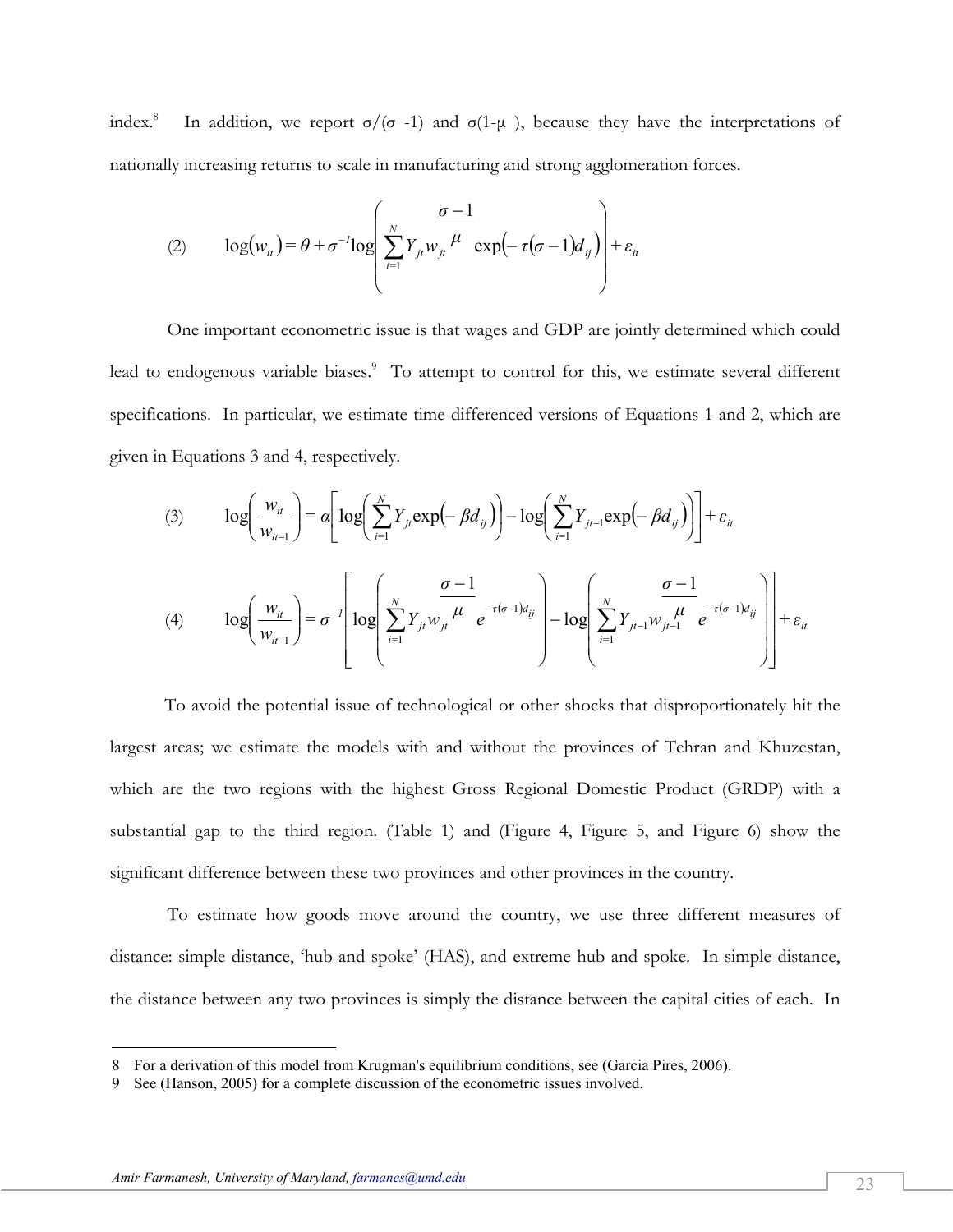index.<sup>8</sup> In addition, we report  $\sigma/(\sigma -1)$  and  $\sigma(1-\mu)$ , because they have the interpretations of nationally increasing returns to scale in manufacturing and strong agglomeration forces.

(2) 
$$
\log(w_{ii}) = \theta + \sigma^{-1} \log \left( \sum_{i=1}^{N} Y_{ji} w_{ji} \frac{\sigma - 1}{\mu} \exp(-\tau(\sigma - 1)) d_{ij} \right) + \varepsilon_{ii}
$$

 One important econometric issue is that wages and GDP are jointly determined which could lead to endogenous variable biases.<sup>9</sup> To attempt to control for this, we estimate several different specifications. In particular, we estimate time-differenced versions of Equations 1 and 2, which are given in Equations 3 and 4, respectively.

(3) 
$$
\log\left(\frac{w_{ii}}{w_{ii-1}}\right) = \alpha \left[ \log\left(\sum_{i=1}^{N} Y_{ji} \exp\left(-\beta d_{ij}\right) \right) - \log\left(\sum_{i=1}^{N} Y_{ji-1} \exp\left(-\beta d_{ij}\right) \right) \right] + \varepsilon_{ii}
$$
  
(4) 
$$
\log\left(\frac{w_{ii}}{w_{ii-1}}\right) = \sigma^{-1} \left[ \log\left(\sum_{i=1}^{N} Y_{ji} w_{ji} \frac{\sigma - 1}{\mu} e^{-\tau(\sigma - 1) d_{ij}}\right) - \log\left(\sum_{i=1}^{N} Y_{ji-1} w_{ji-1} \frac{\sigma - 1}{\mu} e^{-\tau(\sigma - 1) d_{ij}}\right) \right] + \varepsilon_{ii}
$$

To avoid the potential issue of technological or other shocks that disproportionately hit the largest areas; we estimate the models with and without the provinces of Tehran and Khuzestan, which are the two regions with the highest Gross Regional Domestic Product (GRDP) with a substantial gap to the third region. (Table 1) and (Figure 4, Figure 5, and Figure 6) show the significant difference between these two provinces and other provinces in the country.

 To estimate how goods move around the country, we use three different measures of distance: simple distance, 'hub and spoke' (HAS), and extreme hub and spoke. In simple distance, the distance between any two provinces is simply the distance between the capital cities of each. In

<u>.</u>

<sup>8</sup> For a derivation of this model from Krugman's equilibrium conditions, see (Garcia Pires, 2006).

<sup>9</sup> See (Hanson, 2005) for a complete discussion of the econometric issues involved.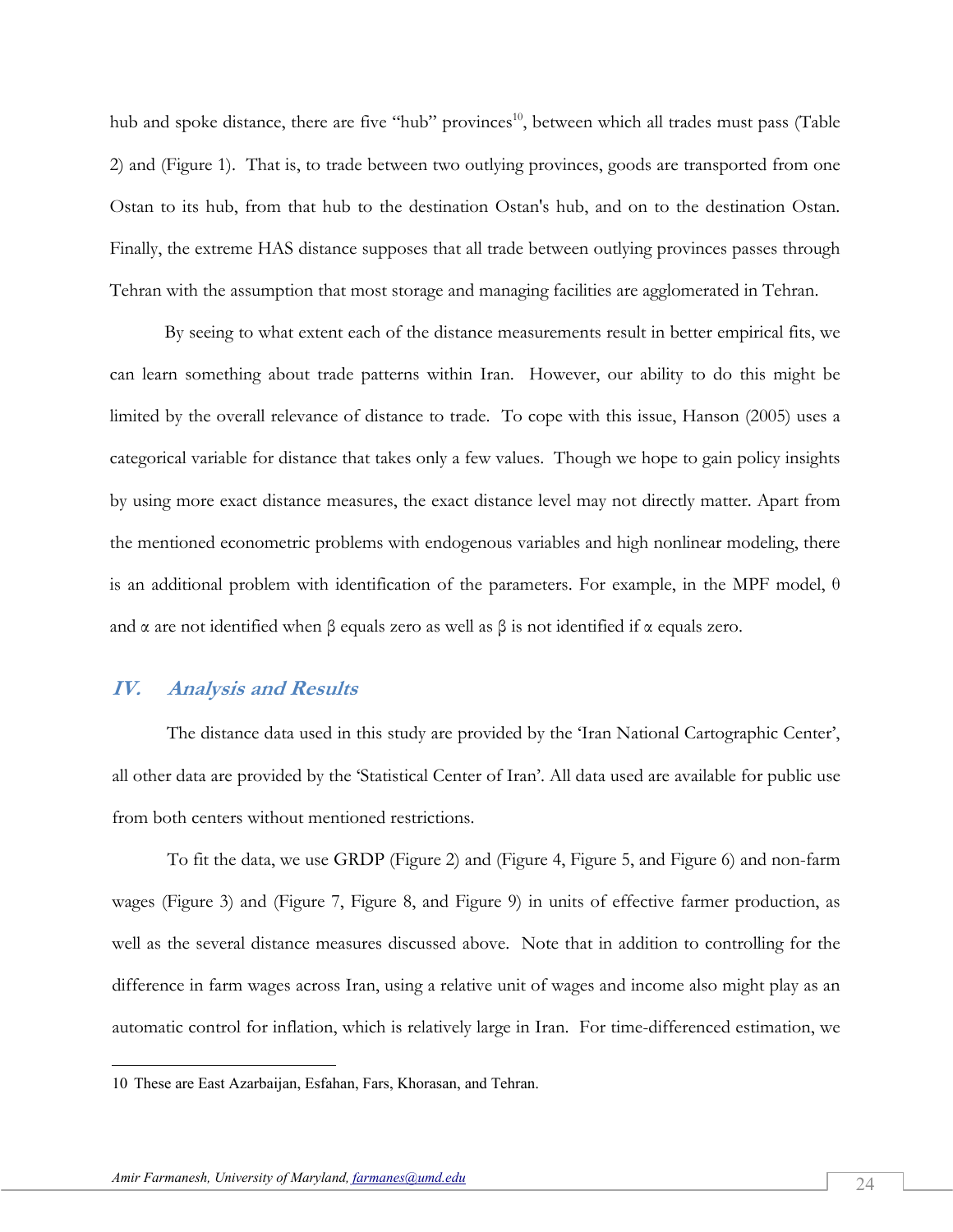hub and spoke distance, there are five "hub" provinces<sup>10</sup>, between which all trades must pass (Table 2) and (Figure 1). That is, to trade between two outlying provinces, goods are transported from one Ostan to its hub, from that hub to the destination Ostan's hub, and on to the destination Ostan. Finally, the extreme HAS distance supposes that all trade between outlying provinces passes through Tehran with the assumption that most storage and managing facilities are agglomerated in Tehran.

By seeing to what extent each of the distance measurements result in better empirical fits, we can learn something about trade patterns within Iran. However, our ability to do this might be limited by the overall relevance of distance to trade. To cope with this issue, Hanson (2005) uses a categorical variable for distance that takes only a few values. Though we hope to gain policy insights by using more exact distance measures, the exact distance level may not directly matter. Apart from the mentioned econometric problems with endogenous variables and high nonlinear modeling, there is an additional problem with identification of the parameters. For example, in the MPF model,  $\theta$ and  $\alpha$  are not identified when  $\beta$  equals zero as well as  $\beta$  is not identified if  $\alpha$  equals zero.

### **IV. Analysis and Results**

 $\overline{a}$ 

The distance data used in this study are provided by the 'Iran National Cartographic Center', all other data are provided by the 'Statistical Center of Iran'. All data used are available for public use from both centers without mentioned restrictions.

 To fit the data, we use GRDP (Figure 2) and (Figure 4, Figure 5, and Figure 6) and non-farm wages (Figure 3) and (Figure 7, Figure 8, and Figure 9) in units of effective farmer production, as well as the several distance measures discussed above. Note that in addition to controlling for the difference in farm wages across Iran, using a relative unit of wages and income also might play as an automatic control for inflation, which is relatively large in Iran. For time-differenced estimation, we

<sup>10</sup> These are East Azarbaijan, Esfahan, Fars, Khorasan, and Tehran.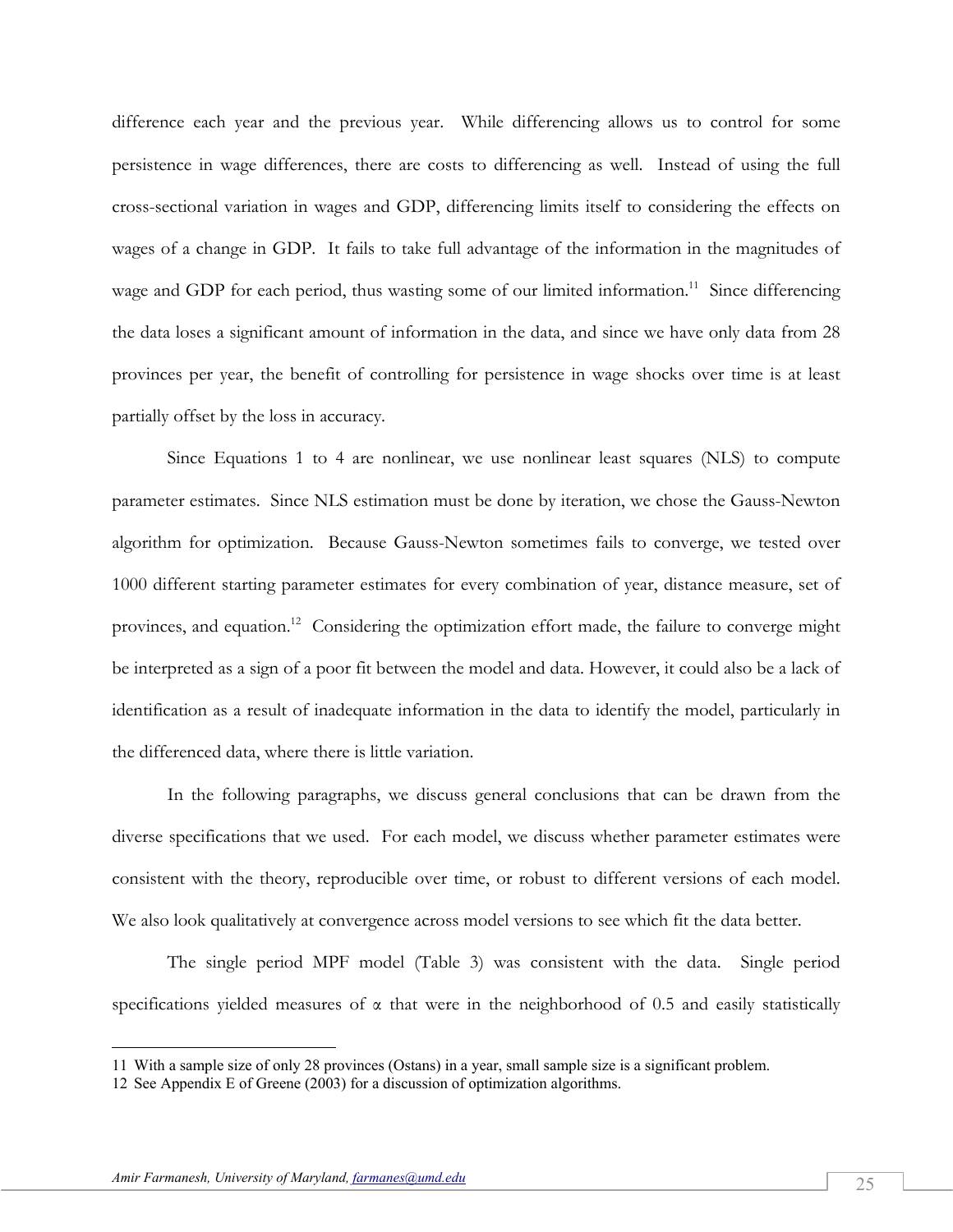difference each year and the previous year. While differencing allows us to control for some persistence in wage differences, there are costs to differencing as well. Instead of using the full cross-sectional variation in wages and GDP, differencing limits itself to considering the effects on wages of a change in GDP. It fails to take full advantage of the information in the magnitudes of wage and GDP for each period, thus wasting some of our limited information.<sup>11</sup> Since differencing the data loses a significant amount of information in the data, and since we have only data from 28 provinces per year, the benefit of controlling for persistence in wage shocks over time is at least partially offset by the loss in accuracy.

 Since Equations 1 to 4 are nonlinear, we use nonlinear least squares (NLS) to compute parameter estimates. Since NLS estimation must be done by iteration, we chose the Gauss-Newton algorithm for optimization. Because Gauss-Newton sometimes fails to converge, we tested over 1000 different starting parameter estimates for every combination of year, distance measure, set of provinces, and equation.<sup>12</sup> Considering the optimization effort made, the failure to converge might be interpreted as a sign of a poor fit between the model and data. However, it could also be a lack of identification as a result of inadequate information in the data to identify the model, particularly in the differenced data, where there is little variation.

 In the following paragraphs, we discuss general conclusions that can be drawn from the diverse specifications that we used. For each model, we discuss whether parameter estimates were consistent with the theory, reproducible over time, or robust to different versions of each model. We also look qualitatively at convergence across model versions to see which fit the data better.

 The single period MPF model (Table 3) was consistent with the data. Single period specifications yielded measures of  $\alpha$  that were in the neighborhood of 0.5 and easily statistically

<u>.</u>

<sup>11</sup> With a sample size of only 28 provinces (Ostans) in a year, small sample size is a significant problem.

<sup>12</sup> See Appendix E of Greene (2003) for a discussion of optimization algorithms.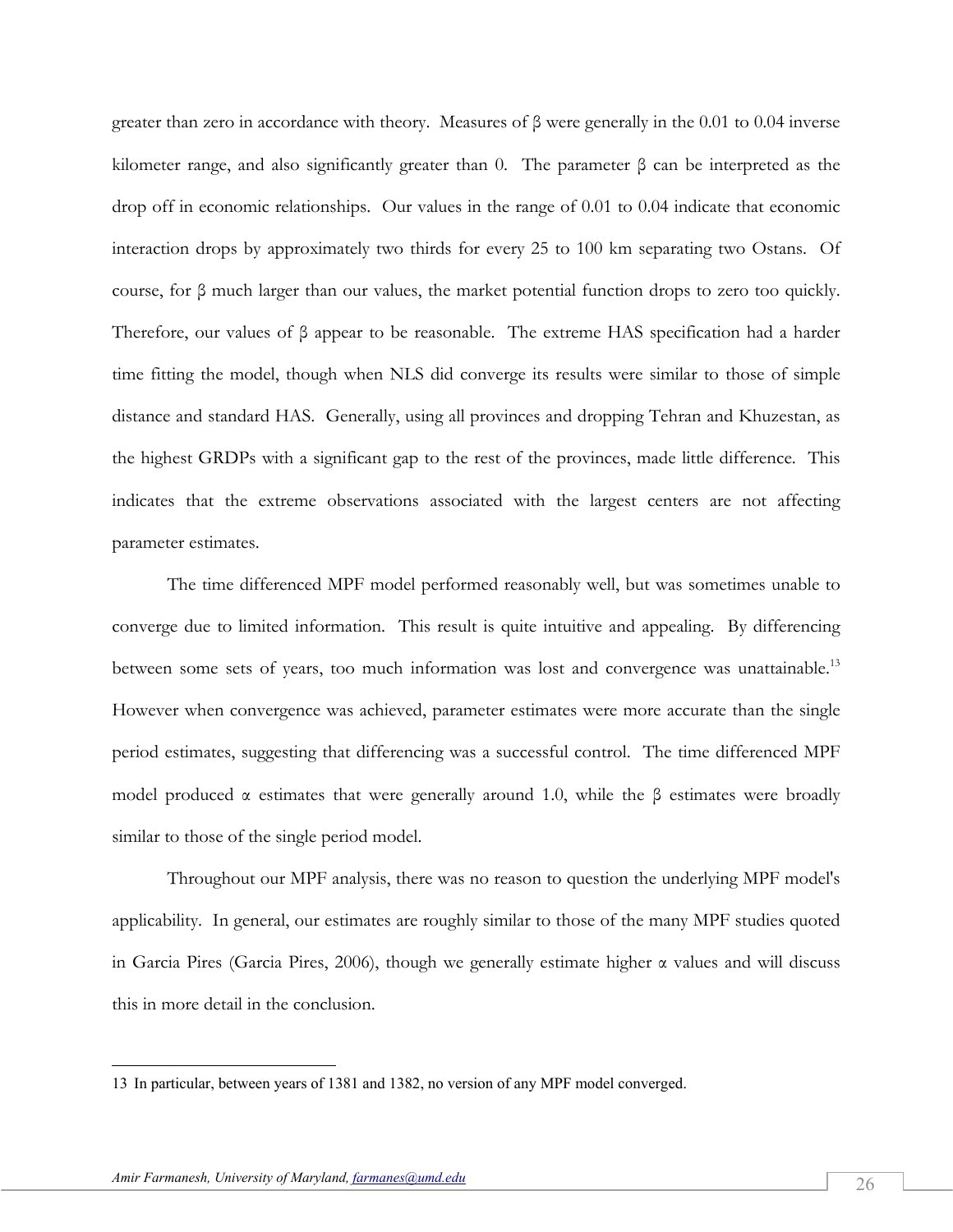greater than zero in accordance with theory. Measures of  $\beta$  were generally in the 0.01 to 0.04 inverse kilometer range, and also significantly greater than 0. The parameter β can be interpreted as the drop off in economic relationships. Our values in the range of 0.01 to 0.04 indicate that economic interaction drops by approximately two thirds for every 25 to 100 km separating two Ostans. Of course, for β much larger than our values, the market potential function drops to zero too quickly. Therefore, our values of β appear to be reasonable. The extreme HAS specification had a harder time fitting the model, though when NLS did converge its results were similar to those of simple distance and standard HAS. Generally, using all provinces and dropping Tehran and Khuzestan, as the highest GRDPs with a significant gap to the rest of the provinces, made little difference. This indicates that the extreme observations associated with the largest centers are not affecting parameter estimates.

 The time differenced MPF model performed reasonably well, but was sometimes unable to converge due to limited information. This result is quite intuitive and appealing. By differencing between some sets of years, too much information was lost and convergence was unattainable.<sup>13</sup> However when convergence was achieved, parameter estimates were more accurate than the single period estimates, suggesting that differencing was a successful control. The time differenced MPF model produced  $\alpha$  estimates that were generally around 1.0, while the  $\beta$  estimates were broadly similar to those of the single period model.

 Throughout our MPF analysis, there was no reason to question the underlying MPF model's applicability. In general, our estimates are roughly similar to those of the many MPF studies quoted in Garcia Pires (Garcia Pires, 2006), though we generally estimate higher  $\alpha$  values and will discuss this in more detail in the conclusion.

-

<sup>13</sup> In particular, between years of 1381 and 1382, no version of any MPF model converged.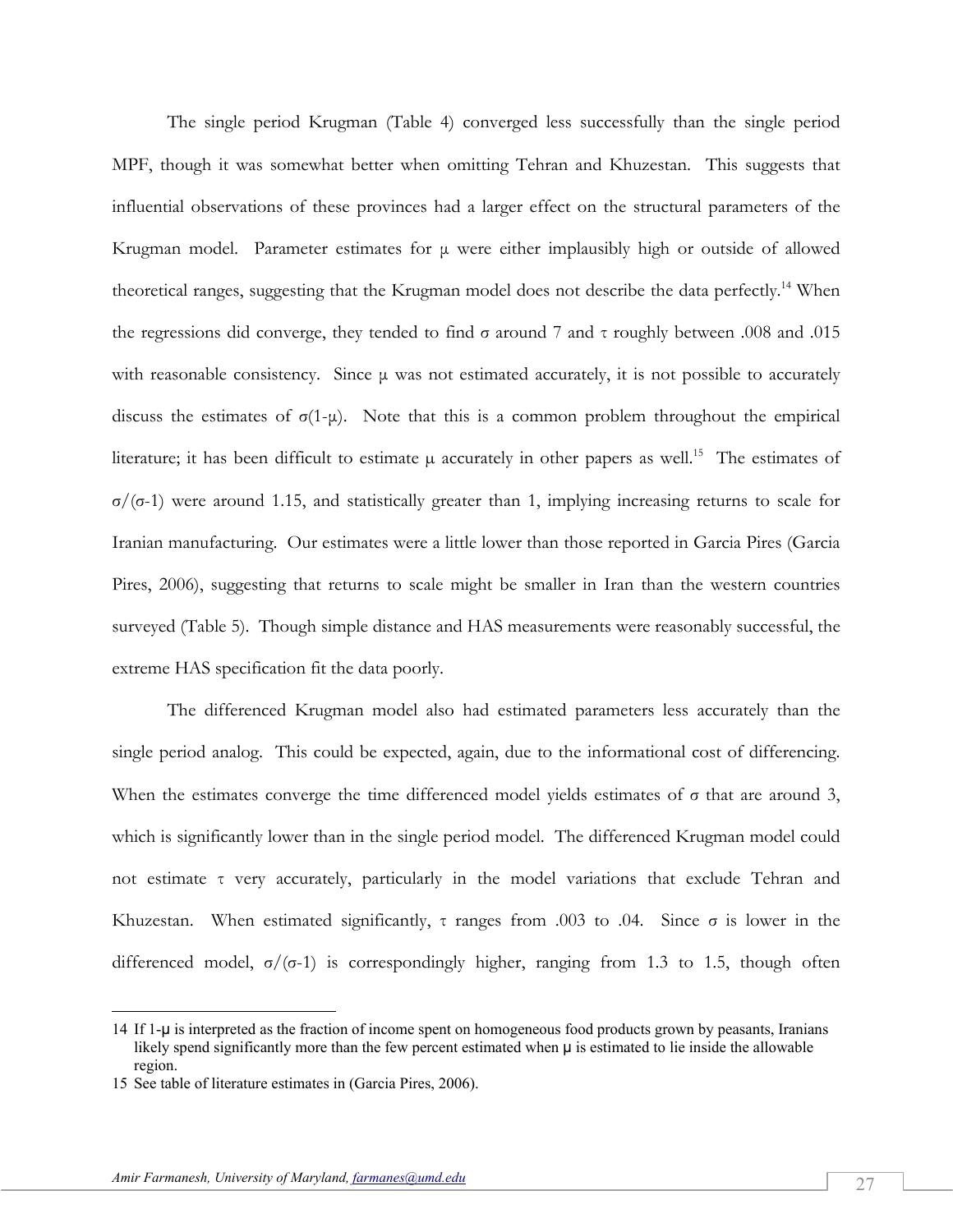The single period Krugman (Table 4) converged less successfully than the single period MPF, though it was somewhat better when omitting Tehran and Khuzestan. This suggests that influential observations of these provinces had a larger effect on the structural parameters of the Krugman model. Parameter estimates for μ were either implausibly high or outside of allowed theoretical ranges, suggesting that the Krugman model does not describe the data perfectly.<sup>14</sup> When the regressions did converge, they tended to find σ around 7 and τ roughly between .008 and .015 with reasonable consistency. Since  $\mu$  was not estimated accurately, it is not possible to accurately discuss the estimates of  $\sigma(1-\mu)$ . Note that this is a common problem throughout the empirical literature; it has been difficult to estimate  $\mu$  accurately in other papers as well.<sup>15</sup> The estimates of σ/(σ-1) were around 1.15, and statistically greater than 1, implying increasing returns to scale for Iranian manufacturing. Our estimates were a little lower than those reported in Garcia Pires (Garcia Pires, 2006), suggesting that returns to scale might be smaller in Iran than the western countries surveyed (Table 5). Though simple distance and HAS measurements were reasonably successful, the extreme HAS specification fit the data poorly.

 The differenced Krugman model also had estimated parameters less accurately than the single period analog. This could be expected, again, due to the informational cost of differencing. When the estimates converge the time differenced model yields estimates of  $\sigma$  that are around 3, which is significantly lower than in the single period model. The differenced Krugman model could not estimate τ very accurately, particularly in the model variations that exclude Tehran and Khuzestan. When estimated significantly,  $\tau$  ranges from .003 to .04. Since  $\sigma$  is lower in the differenced model,  $\sigma/(\sigma-1)$  is correspondingly higher, ranging from 1.3 to 1.5, though often

-

<sup>14</sup> If 1-μ is interpreted as the fraction of income spent on homogeneous food products grown by peasants, Iranians likely spend significantly more than the few percent estimated when μ is estimated to lie inside the allowable region.

<sup>15</sup> See table of literature estimates in (Garcia Pires, 2006).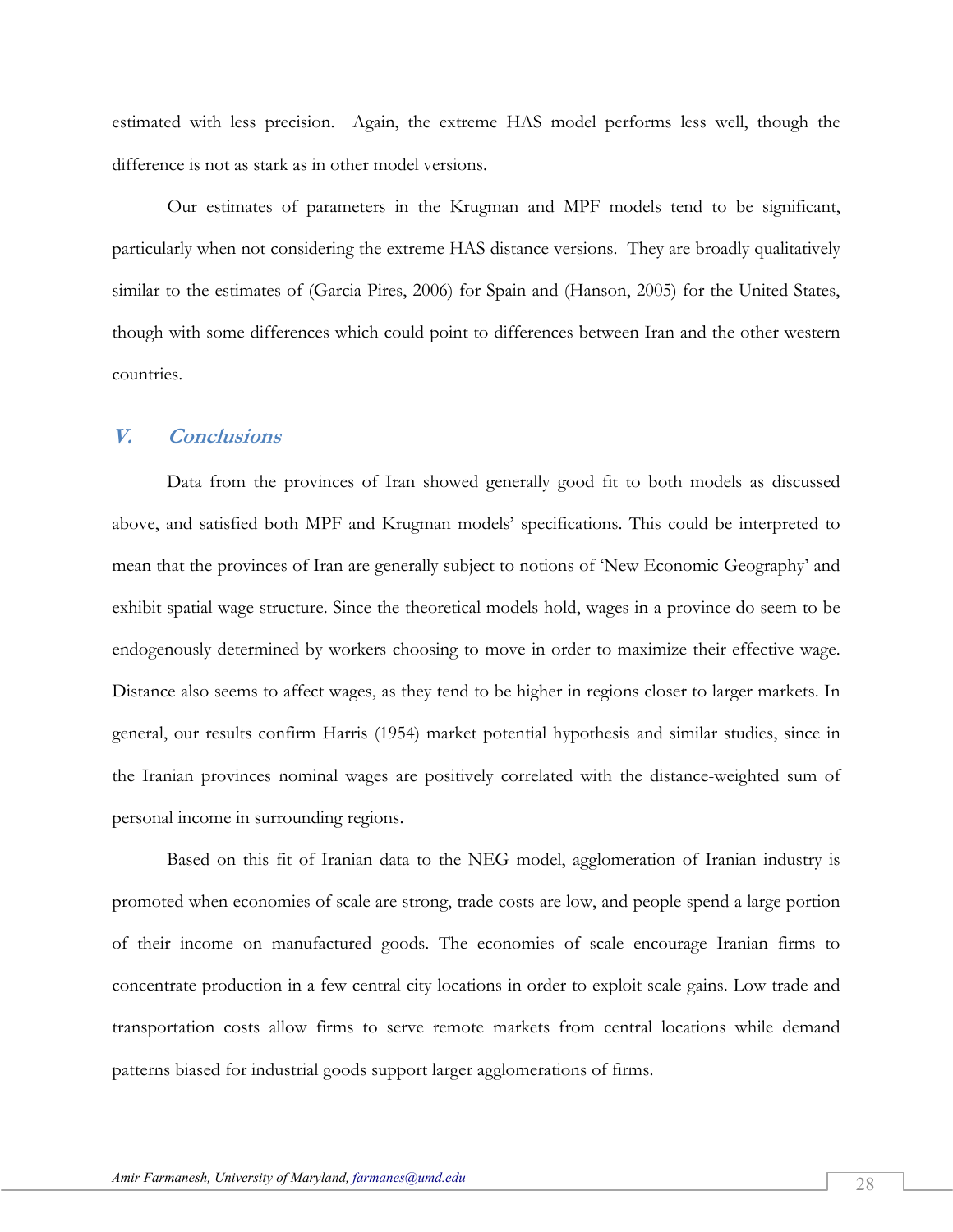estimated with less precision. Again, the extreme HAS model performs less well, though the difference is not as stark as in other model versions.

 Our estimates of parameters in the Krugman and MPF models tend to be significant, particularly when not considering the extreme HAS distance versions. They are broadly qualitatively similar to the estimates of (Garcia Pires, 2006) for Spain and (Hanson, 2005) for the United States, though with some differences which could point to differences between Iran and the other western countries.

## **V. Conclusions**

Data from the provinces of Iran showed generally good fit to both models as discussed above, and satisfied both MPF and Krugman models' specifications. This could be interpreted to mean that the provinces of Iran are generally subject to notions of 'New Economic Geography' and exhibit spatial wage structure. Since the theoretical models hold, wages in a province do seem to be endogenously determined by workers choosing to move in order to maximize their effective wage. Distance also seems to affect wages, as they tend to be higher in regions closer to larger markets. In general, our results confirm Harris (1954) market potential hypothesis and similar studies, since in the Iranian provinces nominal wages are positively correlated with the distance-weighted sum of personal income in surrounding regions.

Based on this fit of Iranian data to the NEG model, agglomeration of Iranian industry is promoted when economies of scale are strong, trade costs are low, and people spend a large portion of their income on manufactured goods. The economies of scale encourage Iranian firms to concentrate production in a few central city locations in order to exploit scale gains. Low trade and transportation costs allow firms to serve remote markets from central locations while demand patterns biased for industrial goods support larger agglomerations of firms.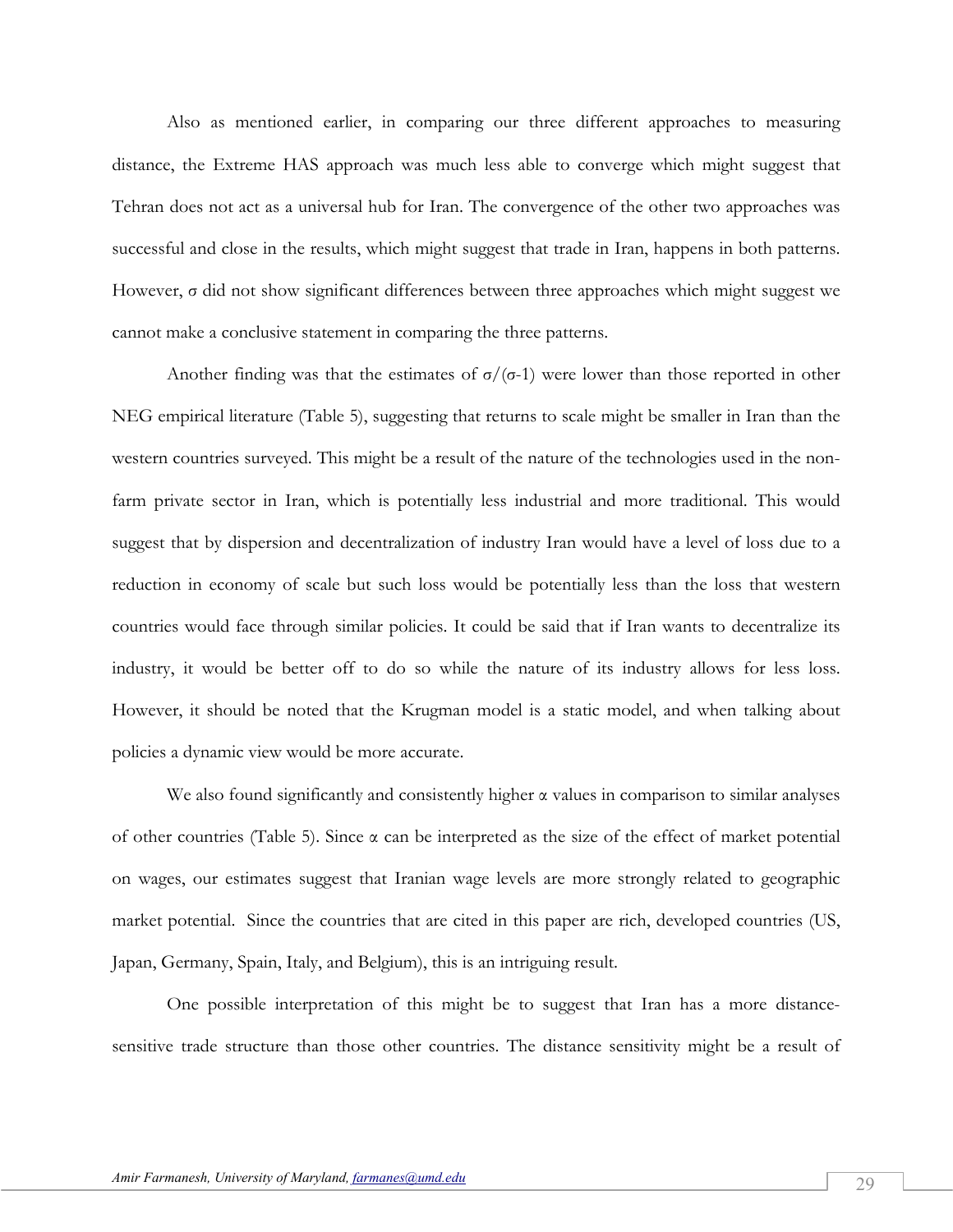Also as mentioned earlier, in comparing our three different approaches to measuring distance, the Extreme HAS approach was much less able to converge which might suggest that Tehran does not act as a universal hub for Iran. The convergence of the other two approaches was successful and close in the results, which might suggest that trade in Iran, happens in both patterns. However, σ did not show significant differences between three approaches which might suggest we cannot make a conclusive statement in comparing the three patterns.

Another finding was that the estimates of  $\sigma/(\sigma-1)$  were lower than those reported in other NEG empirical literature (Table 5), suggesting that returns to scale might be smaller in Iran than the western countries surveyed. This might be a result of the nature of the technologies used in the nonfarm private sector in Iran, which is potentially less industrial and more traditional. This would suggest that by dispersion and decentralization of industry Iran would have a level of loss due to a reduction in economy of scale but such loss would be potentially less than the loss that western countries would face through similar policies. It could be said that if Iran wants to decentralize its industry, it would be better off to do so while the nature of its industry allows for less loss. However, it should be noted that the Krugman model is a static model, and when talking about policies a dynamic view would be more accurate.

We also found significantly and consistently higher  $\alpha$  values in comparison to similar analyses of other countries (Table 5). Since  $\alpha$  can be interpreted as the size of the effect of market potential on wages, our estimates suggest that Iranian wage levels are more strongly related to geographic market potential. Since the countries that are cited in this paper are rich, developed countries (US, Japan, Germany, Spain, Italy, and Belgium), this is an intriguing result.

One possible interpretation of this might be to suggest that Iran has a more distancesensitive trade structure than those other countries. The distance sensitivity might be a result of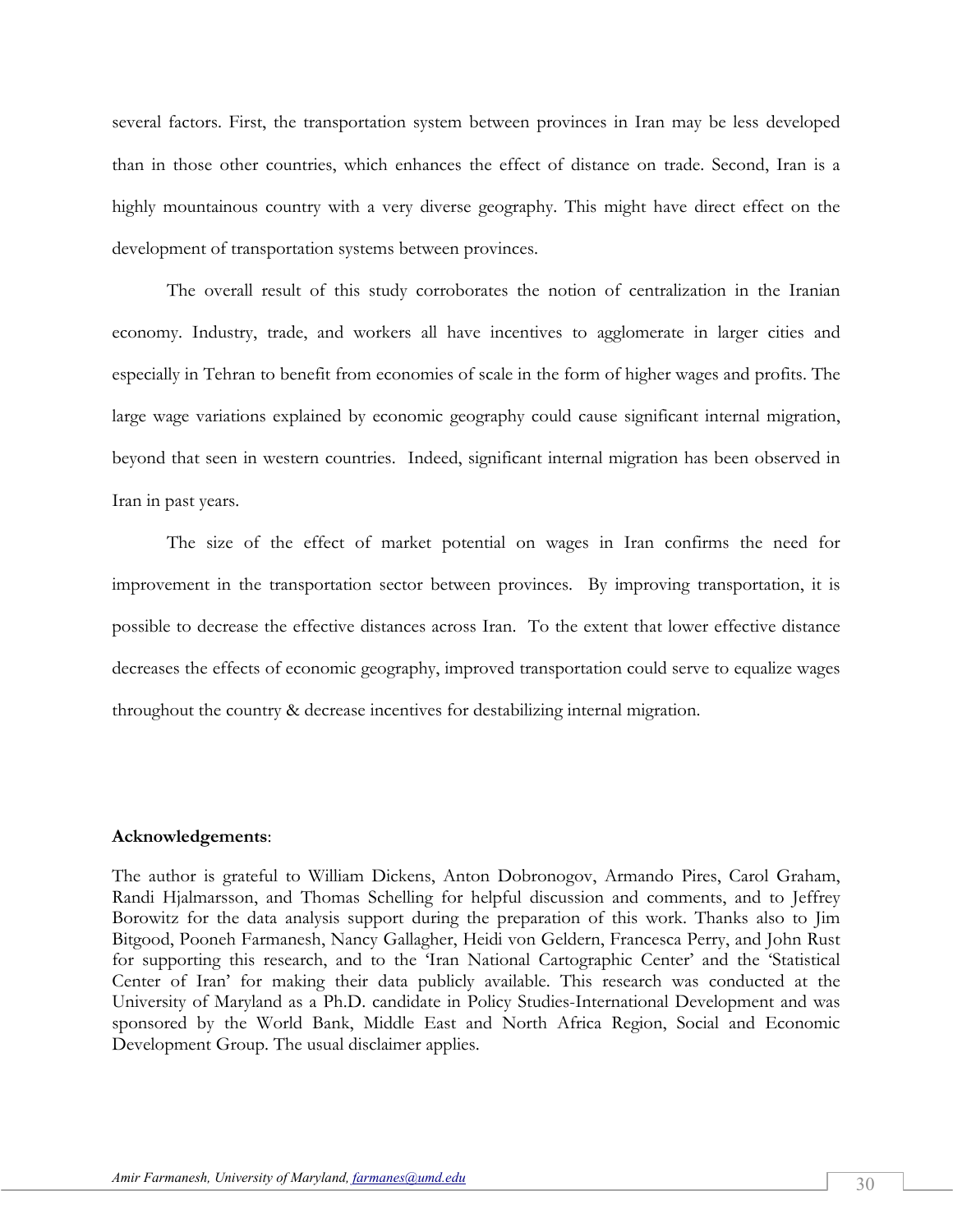several factors. First, the transportation system between provinces in Iran may be less developed than in those other countries, which enhances the effect of distance on trade. Second, Iran is a highly mountainous country with a very diverse geography. This might have direct effect on the development of transportation systems between provinces.

The overall result of this study corroborates the notion of centralization in the Iranian economy. Industry, trade, and workers all have incentives to agglomerate in larger cities and especially in Tehran to benefit from economies of scale in the form of higher wages and profits. The large wage variations explained by economic geography could cause significant internal migration, beyond that seen in western countries. Indeed, significant internal migration has been observed in Iran in past years.

The size of the effect of market potential on wages in Iran confirms the need for improvement in the transportation sector between provinces. By improving transportation, it is possible to decrease the effective distances across Iran. To the extent that lower effective distance decreases the effects of economic geography, improved transportation could serve to equalize wages throughout the country & decrease incentives for destabilizing internal migration.

#### **Acknowledgements**:

The author is grateful to William Dickens, Anton Dobronogov, Armando Pires, Carol Graham, Randi Hjalmarsson, and Thomas Schelling for helpful discussion and comments, and to Jeffrey Borowitz for the data analysis support during the preparation of this work. Thanks also to Jim Bitgood, Pooneh Farmanesh, Nancy Gallagher, Heidi von Geldern, Francesca Perry, and John Rust for supporting this research, and to the 'Iran National Cartographic Center' and the 'Statistical Center of Iran' for making their data publicly available. This research was conducted at the University of Maryland as a Ph.D. candidate in Policy Studies-International Development and was sponsored by the World Bank, Middle East and North Africa Region, Social and Economic Development Group. The usual disclaimer applies.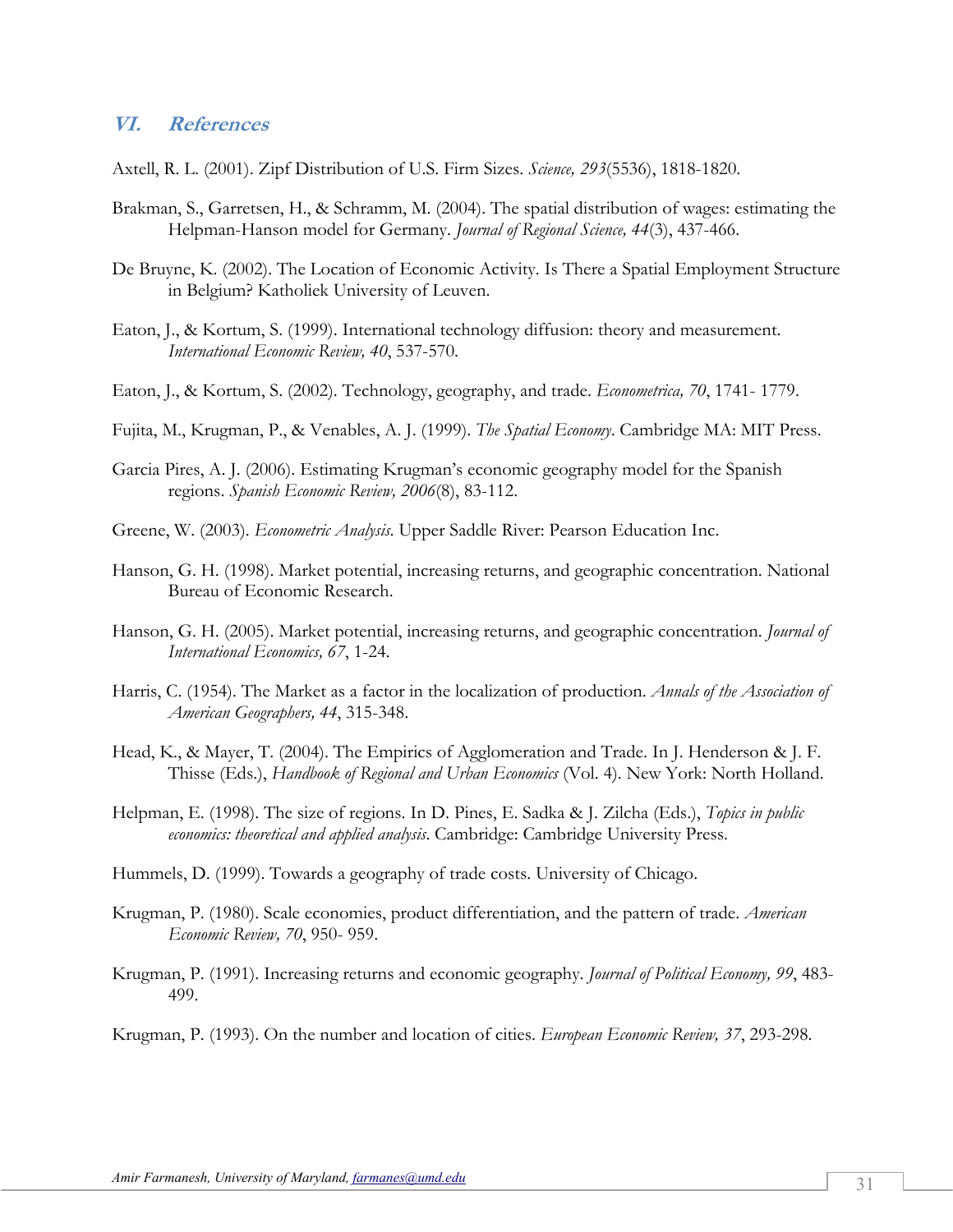#### **VI. References**

Axtell, R. L. (2001). Zipf Distribution of U.S. Firm Sizes. *Science, 293*(5536), 1818-1820.

- Brakman, S., Garretsen, H., & Schramm, M. (2004). The spatial distribution of wages: estimating the Helpman-Hanson model for Germany. *Journal of Regional Science, 44*(3), 437-466.
- De Bruyne, K. (2002). The Location of Economic Activity. Is There a Spatial Employment Structure in Belgium? Katholiek University of Leuven.
- Eaton, J., & Kortum, S. (1999). International technology diffusion: theory and measurement. *International Economic Review, 40*, 537-570.
- Eaton, J., & Kortum, S. (2002). Technology, geography, and trade. *Econometrica, 70*, 1741- 1779.
- Fujita, M., Krugman, P., & Venables, A. J. (1999). *The Spatial Economy*. Cambridge MA: MIT Press.
- Garcia Pires, A. J. (2006). Estimating Krugman's economic geography model for the Spanish regions. *Spanish Economic Review, 2006*(8), 83-112.
- Greene, W. (2003). *Econometric Analysis*. Upper Saddle River: Pearson Education Inc.
- Hanson, G. H. (1998). Market potential, increasing returns, and geographic concentration. National Bureau of Economic Research.
- Hanson, G. H. (2005). Market potential, increasing returns, and geographic concentration. *Journal of International Economics, 67*, 1-24.
- Harris, C. (1954). The Market as a factor in the localization of production. *Annals of the Association of American Geographers, 44*, 315-348.
- Head, K., & Mayer, T. (2004). The Empirics of Agglomeration and Trade. In J. Henderson & J. F. Thisse (Eds.), *Handbook of Regional and Urban Economics* (Vol. 4). New York: North Holland.
- Helpman, E. (1998). The size of regions. In D. Pines, E. Sadka & J. Zilcha (Eds.), *Topics in public economics: theoretical and applied analysis*. Cambridge: Cambridge University Press.
- Hummels, D. (1999). Towards a geography of trade costs. University of Chicago.
- Krugman, P. (1980). Scale economies, product differentiation, and the pattern of trade. *American Economic Review, 70*, 950- 959.
- Krugman, P. (1991). Increasing returns and economic geography. *Journal of Political Economy, 99*, 483- 499.

Krugman, P. (1993). On the number and location of cities. *European Economic Review, 37*, 293-298.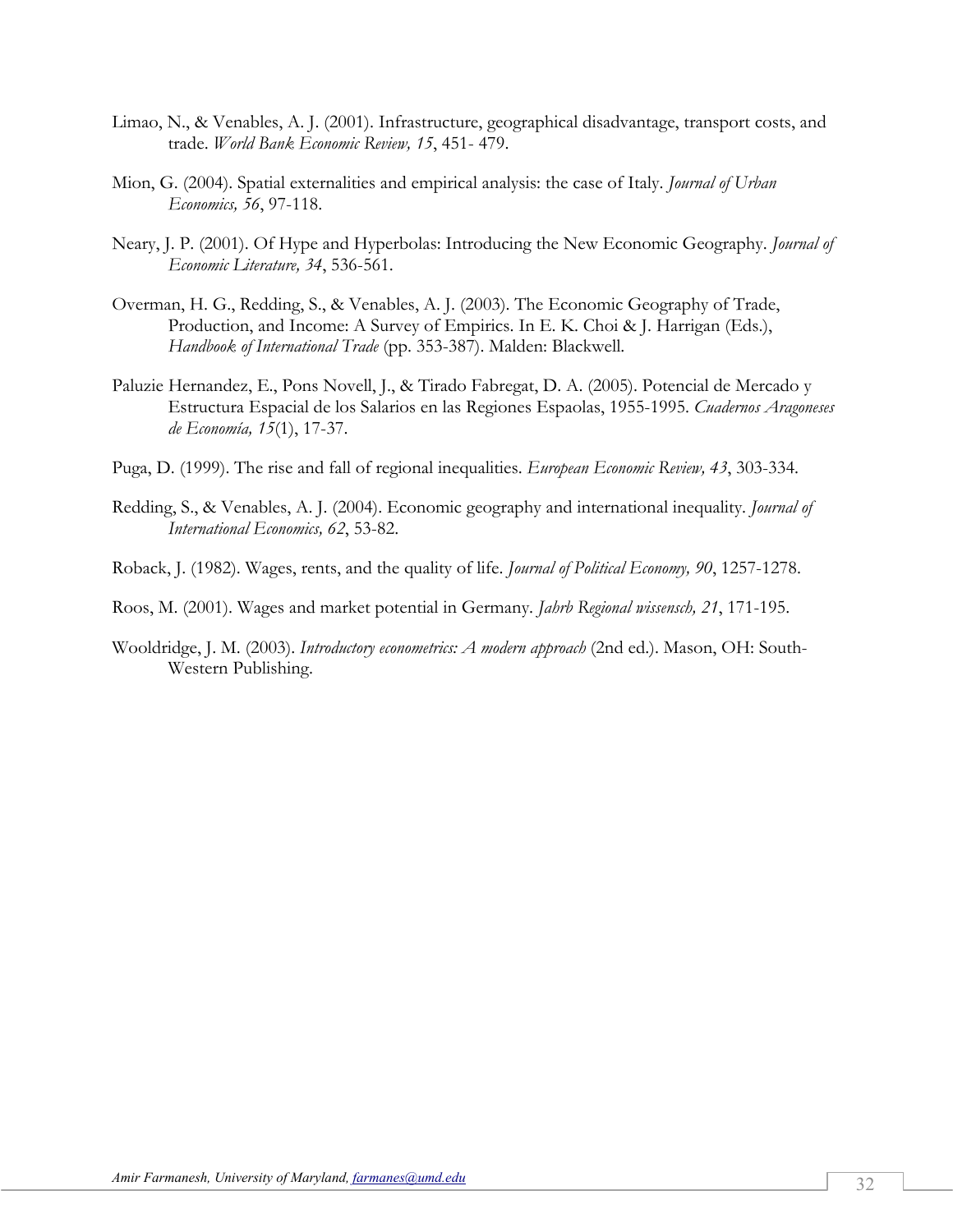- Limao, N., & Venables, A. J. (2001). Infrastructure, geographical disadvantage, transport costs, and trade. *World Bank Economic Review, 15*, 451- 479.
- Mion, G. (2004). Spatial externalities and empirical analysis: the case of Italy. *Journal of Urban Economics, 56*, 97-118.
- Neary, J. P. (2001). Of Hype and Hyperbolas: Introducing the New Economic Geography. *Journal of Economic Literature, 34*, 536-561.
- Overman, H. G., Redding, S., & Venables, A. J. (2003). The Economic Geography of Trade, Production, and Income: A Survey of Empirics. In E. K. Choi & J. Harrigan (Eds.), *Handbook of International Trade* (pp. 353-387). Malden: Blackwell.
- Paluzie Hernandez, E., Pons Novell, J., & Tirado Fabregat, D. A. (2005). Potencial de Mercado y Estructura Espacial de los Salarios en las Regiones Espaolas, 1955-1995. *Cuadernos Aragoneses de Economía, 15*(1), 17-37.
- Puga, D. (1999). The rise and fall of regional inequalities. *European Economic Review, 43*, 303-334.
- Redding, S., & Venables, A. J. (2004). Economic geography and international inequality. *Journal of International Economics, 62*, 53-82.
- Roback, J. (1982). Wages, rents, and the quality of life. *Journal of Political Economy, 90*, 1257-1278.
- Roos, M. (2001). Wages and market potential in Germany. *Jahrb Regional wissensch, 21*, 171-195.
- Wooldridge, J. M. (2003). *Introductory econometrics: A modern approach* (2nd ed.). Mason, OH: South-Western Publishing.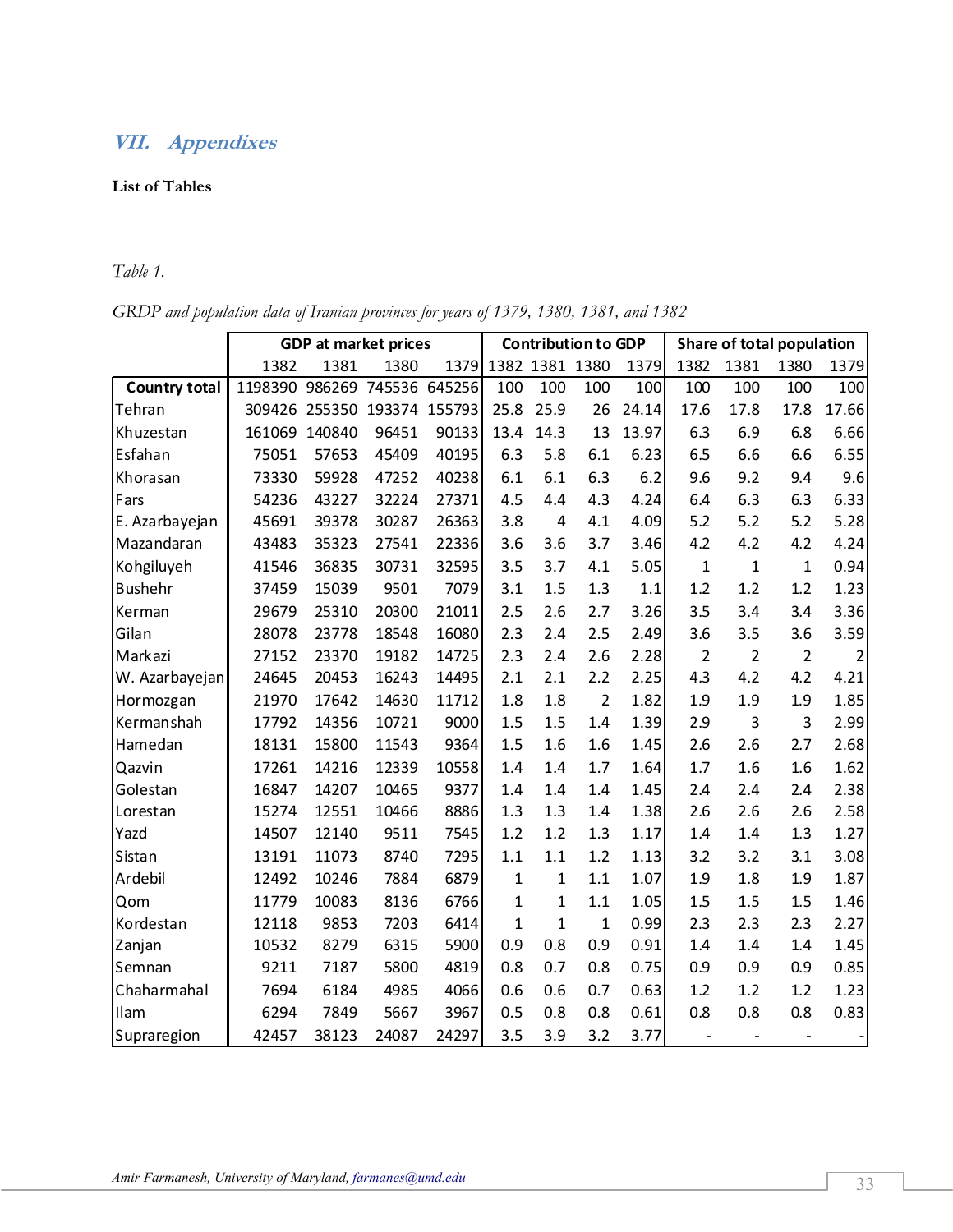# **VII. Appendixes**

#### **List of Tables**

# *Table 1.*

*GRDP and population data of Iranian provinces for years of 1379, 1380, 1381, and 1382* 

|                      | <b>GDP</b> at market prices |        |               | <b>Contribution to GDP</b> |                |                | Share of total population |       |                          |                |                |       |
|----------------------|-----------------------------|--------|---------------|----------------------------|----------------|----------------|---------------------------|-------|--------------------------|----------------|----------------|-------|
|                      | 1382                        | 1381   | 1380          | 1379                       | 1382 1381 1380 |                |                           | 1379  | 1382                     | 1381           | 1380           | 1379  |
| <b>Country total</b> | 1198390                     | 986269 | 745536 645256 |                            | 100            | 100            | 100                       | 100   | 100                      | 100            | 100            | 100   |
| Tehran               | 309426                      | 255350 | 193374 155793 |                            | 25.8           | 25.9           | 26                        | 24.14 | 17.6                     | 17.8           | 17.8           | 17.66 |
| Khuzestan            | 161069                      | 140840 | 96451         | 90133                      | 13.4           | 14.3           | 13                        | 13.97 | 6.3                      | 6.9            | 6.8            | 6.66  |
| Esfahan              | 75051                       | 57653  | 45409         | 40195                      | 6.3            | 5.8            | 6.1                       | 6.23  | 6.5                      | 6.6            | 6.6            | 6.55  |
| Khorasan             | 73330                       | 59928  | 47252         | 40238                      | 6.1            | 6.1            | 6.3                       | 6.2   | 9.6                      | 9.2            | 9.4            | 9.6   |
| Fars                 | 54236                       | 43227  | 32224         | 27371                      | 4.5            | 4.4            | 4.3                       | 4.24  | 6.4                      | 6.3            | 6.3            | 6.33  |
| E. Azarbayejan       | 45691                       | 39378  | 30287         | 26363                      | 3.8            | $\overline{4}$ | 4.1                       | 4.09  | 5.2                      | 5.2            | 5.2            | 5.28  |
| Mazandaran           | 43483                       | 35323  | 27541         | 22336                      | 3.6            | 3.6            | 3.7                       | 3.46  | 4.2                      | 4.2            | 4.2            | 4.24  |
| Kohgiluyeh           | 41546                       | 36835  | 30731         | 32595                      | 3.5            | 3.7            | 4.1                       | 5.05  | $\mathbf{1}$             | $\mathbf{1}$   | $\mathbf{1}$   | 0.94  |
| <b>Bushehr</b>       | 37459                       | 15039  | 9501          | 7079                       | 3.1            | 1.5            | 1.3                       | 1.1   | 1.2                      | 1.2            | 1.2            | 1.23  |
| Kerman               | 29679                       | 25310  | 20300         | 21011                      | 2.5            | 2.6            | 2.7                       | 3.26  | 3.5                      | 3.4            | 3.4            | 3.36  |
| Gilan                | 28078                       | 23778  | 18548         | 16080                      | 2.3            | 2.4            | 2.5                       | 2.49  | 3.6                      | 3.5            | 3.6            | 3.59  |
| Markazi              | 27152                       | 23370  | 19182         | 14725                      | 2.3            | 2.4            | 2.6                       | 2.28  | 2                        | $\overline{2}$ | $\overline{2}$ | 2     |
| W. Azarbayejan       | 24645                       | 20453  | 16243         | 14495                      | 2.1            | 2.1            | 2.2                       | 2.25  | 4.3                      | 4.2            | 4.2            | 4.21  |
| Hormozgan            | 21970                       | 17642  | 14630         | 11712                      | 1.8            | 1.8            | $\overline{2}$            | 1.82  | 1.9                      | 1.9            | 1.9            | 1.85  |
| Kermanshah           | 17792                       | 14356  | 10721         | 9000                       | 1.5            | 1.5            | 1.4                       | 1.39  | 2.9                      | $\overline{3}$ | 3              | 2.99  |
| Hamedan              | 18131                       | 15800  | 11543         | 9364                       | 1.5            | 1.6            | 1.6                       | 1.45  | 2.6                      | 2.6            | 2.7            | 2.68  |
| Qazvin               | 17261                       | 14216  | 12339         | 10558                      | 1.4            | 1.4            | 1.7                       | 1.64  | 1.7                      | 1.6            | 1.6            | 1.62  |
| Golestan             | 16847                       | 14207  | 10465         | 9377                       | 1.4            | 1.4            | 1.4                       | 1.45  | 2.4                      | 2.4            | 2.4            | 2.38  |
| Lorestan             | 15274                       | 12551  | 10466         | 8886                       | 1.3            | 1.3            | 1.4                       | 1.38  | 2.6                      | 2.6            | 2.6            | 2.58  |
| Yazd                 | 14507                       | 12140  | 9511          | 7545                       | 1.2            | 1.2            | 1.3                       | 1.17  | $1.4\,$                  | 1.4            | 1.3            | 1.27  |
| Sistan               | 13191                       | 11073  | 8740          | 7295                       | 1.1            | 1.1            | 1.2                       | 1.13  | 3.2                      | 3.2            | 3.1            | 3.08  |
| Ardebil              | 12492                       | 10246  | 7884          | 6879                       | $\mathbf{1}$   | $\mathbf{1}$   | 1.1                       | 1.07  | 1.9                      | 1.8            | 1.9            | 1.87  |
| Qom                  | 11779                       | 10083  | 8136          | 6766                       | $\mathbf 1$    | $\mathbf{1}$   | 1.1                       | 1.05  | 1.5                      | 1.5            | 1.5            | 1.46  |
| Kordestan            | 12118                       | 9853   | 7203          | 6414                       | $\mathbf{1}$   | $\mathbf{1}$   | $\mathbf{1}$              | 0.99  | 2.3                      | 2.3            | 2.3            | 2.27  |
| Zanjan               | 10532                       | 8279   | 6315          | 5900                       | 0.9            | 0.8            | 0.9                       | 0.91  | 1.4                      | 1.4            | 1.4            | 1.45  |
| Semnan               | 9211                        | 7187   | 5800          | 4819                       | 0.8            | 0.7            | 0.8                       | 0.75  | 0.9                      | 0.9            | 0.9            | 0.85  |
| Chaharmahal          | 7694                        | 6184   | 4985          | 4066                       | 0.6            | 0.6            | 0.7                       | 0.63  | 1.2                      | 1.2            | 1.2            | 1.23  |
| Ilam                 | 6294                        | 7849   | 5667          | 3967                       | 0.5            | 0.8            | 0.8                       | 0.61  | 0.8                      | 0.8            | 0.8            | 0.83  |
| Supraregion          | 42457                       | 38123  | 24087         | 24297                      | 3.5            | 3.9            | 3.2                       | 3.77  | $\overline{\phantom{a}}$ |                |                |       |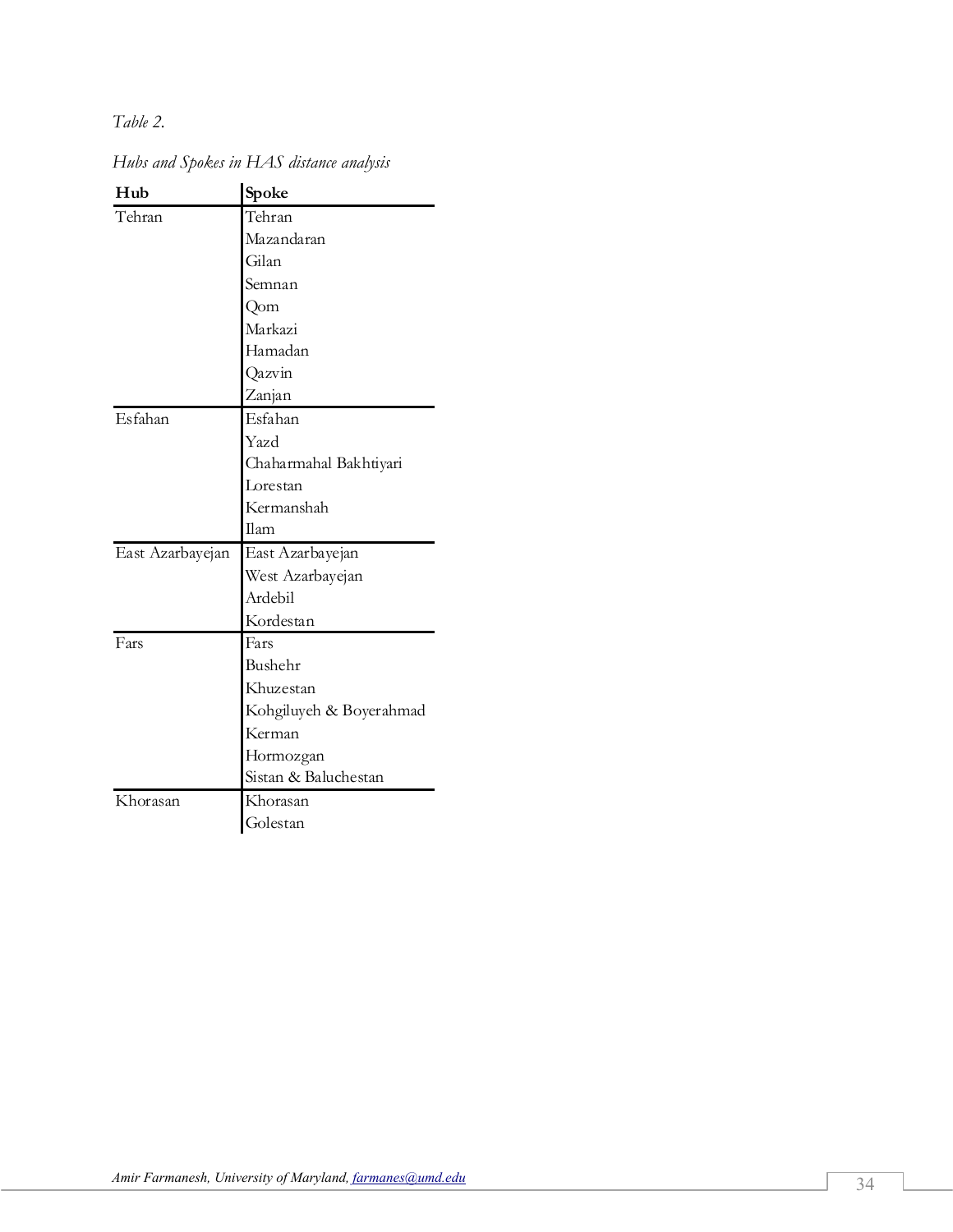*Table 2.* 

| Hub              | Spoke                   |
|------------------|-------------------------|
| Tehran           | Tehran                  |
|                  | Mazandaran              |
|                  | Gilan                   |
|                  | Semnan                  |
|                  | Qom                     |
|                  | Markazi                 |
|                  | Hamadan                 |
|                  | Qazvin                  |
|                  | Zanjan                  |
| Esfahan          | Esfahan                 |
|                  | Yazd                    |
|                  | Chaharmahal Bakhtiyari  |
|                  | Lorestan                |
|                  | Kermanshah              |
|                  | Ilam                    |
| East Azarbayejan | East Azarbayejan        |
|                  | West Azarbayejan        |
|                  | Ardebil                 |
|                  | Kordestan               |
| Fars             | Fars                    |
|                  | Bushehr                 |
|                  | Khuzestan               |
|                  | Kohgiluyeh & Boyerahmad |
|                  | Kerman                  |
|                  | Hormozgan               |
|                  | Sistan & Baluchestan    |
| Khorasan         | Khorasan                |
|                  | Golestan                |

*Hubs and Spokes in HAS distance analysis*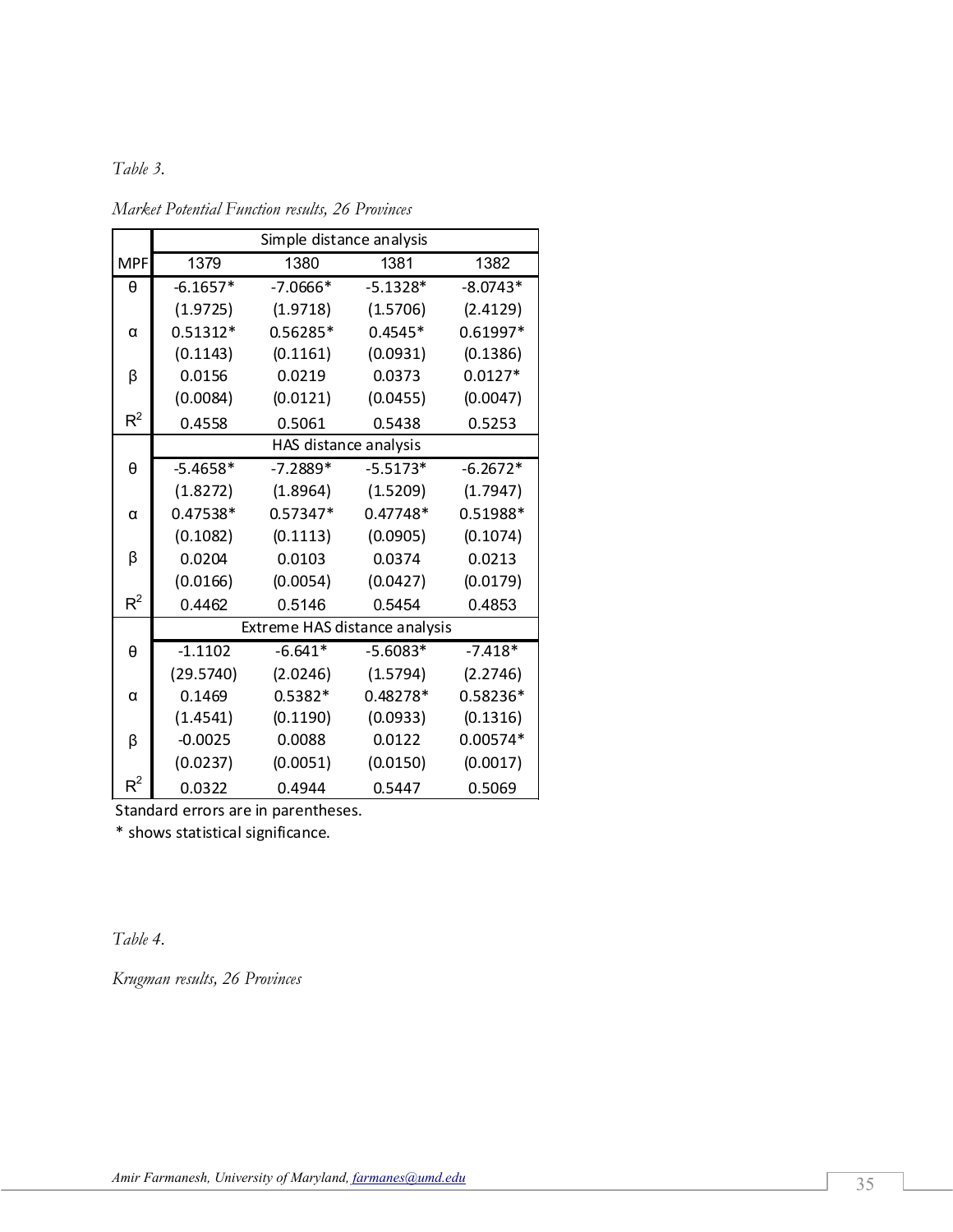# *Table 3.*

|            | Simple distance analysis      |                       |            |            |  |  |  |
|------------|-------------------------------|-----------------------|------------|------------|--|--|--|
| <b>MPF</b> | 1379                          | 1380                  | 1381       | 1382       |  |  |  |
| θ          | $-6.1657*$                    | $-7.0666*$            | $-5.1328*$ | $-8.0743*$ |  |  |  |
|            | (1.9725)                      | (1.9718)              | (1.5706)   | (2.4129)   |  |  |  |
| α          | $0.51312*$                    | $0.56285*$            | $0.4545*$  | $0.61997*$ |  |  |  |
|            | (0.1143)                      | (0.1161)              | (0.0931)   | (0.1386)   |  |  |  |
| β          | 0.0156                        | 0.0219                | 0.0373     | $0.0127*$  |  |  |  |
|            | (0.0084)                      | (0.0121)              | (0.0455)   | (0.0047)   |  |  |  |
| $R^2$      | 0.4558                        | 0.5061                | 0.5438     | 0.5253     |  |  |  |
|            |                               | HAS distance analysis |            |            |  |  |  |
| θ          | $-5.4658*$                    | $-7.2889*$            | $-5.5173*$ | $-6.2672*$ |  |  |  |
|            | (1.8272)                      | (1.8964)              | (1.5209)   | (1.7947)   |  |  |  |
| α          | 0.47538*                      | $0.57347*$            | $0.47748*$ | 0.51988*   |  |  |  |
|            | (0.1082)                      | (0.1113)              | (0.0905)   | (0.1074)   |  |  |  |
| β          | 0.0204                        | 0.0103                | 0.0374     | 0.0213     |  |  |  |
|            | (0.0166)                      | (0.0054)              | (0.0427)   | (0.0179)   |  |  |  |
| $R^2$      | 0.4462                        | 0.5146                | 0.5454     | 0.4853     |  |  |  |
|            | Extreme HAS distance analysis |                       |            |            |  |  |  |
| θ          | $-1.1102$                     | $-6.641*$             | $-5.6083*$ | $-7.418*$  |  |  |  |
|            | (29.5740)                     | (2.0246)              | (1.5794)   | (2.2746)   |  |  |  |
| α          | 0.1469                        | $0.5382*$             | $0.48278*$ | 0.58236*   |  |  |  |
|            | (1.4541)                      | (0.1190)              | (0.0933)   | (0.1316)   |  |  |  |
| β          | $-0.0025$                     | 0.0088                | 0.0122     | 0.00574*   |  |  |  |
|            | (0.0237)                      | (0.0051)              | (0.0150)   | (0.0017)   |  |  |  |
| $R^2$      | 0.0322                        | 0.4944                | 0.5447     | 0.5069     |  |  |  |

*Market Potential Function results, 26 Provinces* 

Standard errors are in parentheses.

\* shows statistical significance.

*Table 4.* 

*Krugman results, 26 Provinces*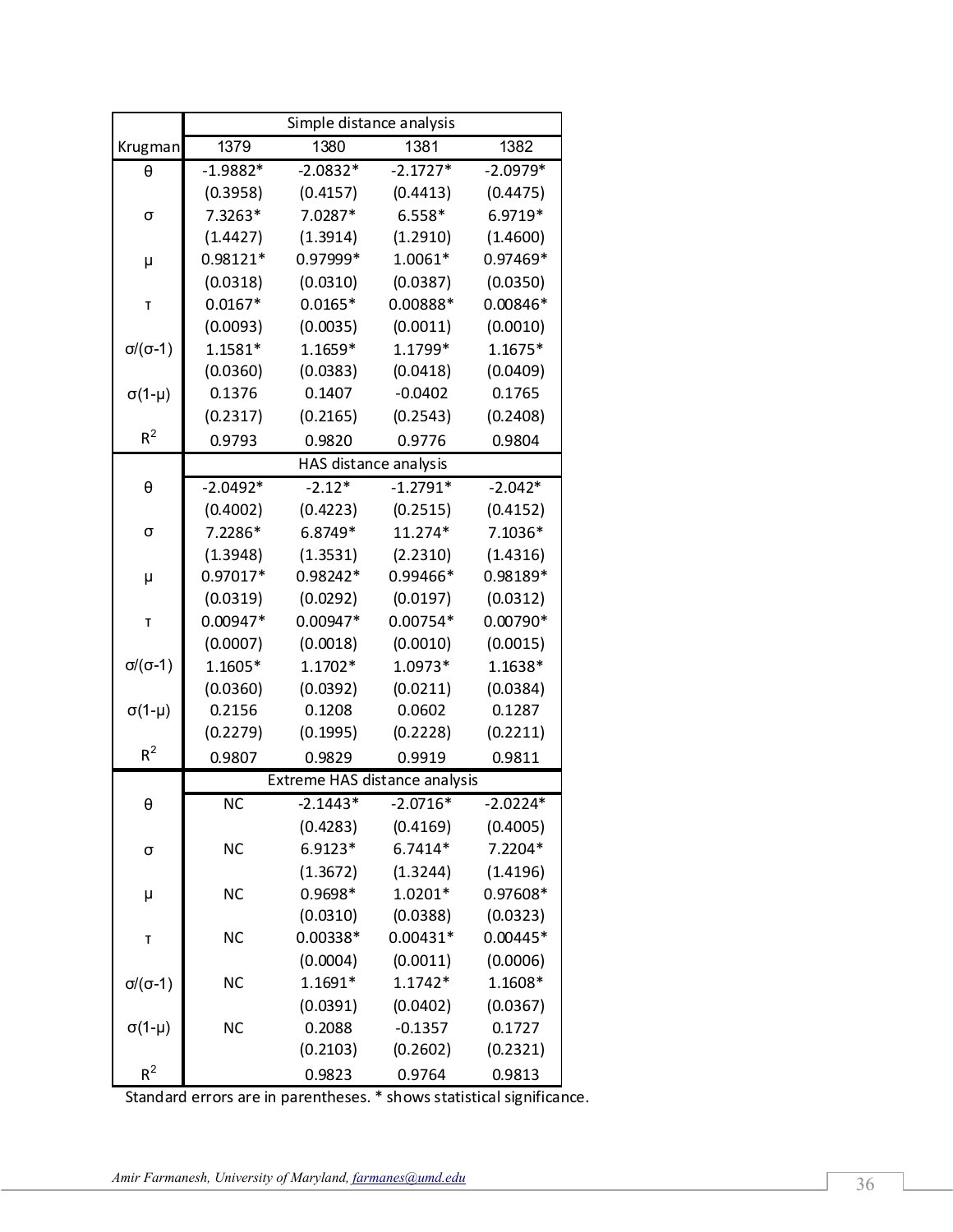|                     | Simple distance analysis |                       |                               |            |  |  |  |
|---------------------|--------------------------|-----------------------|-------------------------------|------------|--|--|--|
| Krugman             | 1379                     | 1380                  | 1381                          | 1382       |  |  |  |
| θ                   | $-1.9882*$               | $-2.0832*$            | $-2.1727*$                    | $-2.0979*$ |  |  |  |
|                     | (0.3958)                 | (0.4157)              | (0.4413)                      | (0.4475)   |  |  |  |
| σ                   | 7.3263*                  | 7.0287*               | $6.558*$                      | 6.9719*    |  |  |  |
|                     | (1.4427)                 | (1.3914)              | (1.2910)                      | (1.4600)   |  |  |  |
| μ                   | $0.98121*$               | 0.97999*              | 1.0061*                       | 0.97469*   |  |  |  |
|                     | (0.0318)                 | (0.0310)              | (0.0387)                      | (0.0350)   |  |  |  |
| Т                   | $0.0167*$                | $0.0165*$             | 0.00888*                      | 0.00846*   |  |  |  |
|                     | (0.0093)                 | (0.0035)              | (0.0011)                      | (0.0010)   |  |  |  |
| $\sigma/(\sigma-1)$ | 1.1581*                  | 1.1659*               | 1.1799*                       | 1.1675*    |  |  |  |
|                     | (0.0360)                 | (0.0383)              | (0.0418)                      | (0.0409)   |  |  |  |
| $\sigma(1-\mu)$     | 0.1376                   | 0.1407                | $-0.0402$                     | 0.1765     |  |  |  |
|                     | (0.2317)                 | (0.2165)              | (0.2543)                      | (0.2408)   |  |  |  |
| $R^2$               | 0.9793                   | 0.9820                | 0.9776                        | 0.9804     |  |  |  |
|                     |                          | HAS distance analysis |                               |            |  |  |  |
| θ                   | $-2.0492*$               | $-2.12*$              | $-1.2791*$                    | $-2.042*$  |  |  |  |
|                     | (0.4002)                 | (0.4223)              | (0.2515)                      | (0.4152)   |  |  |  |
| σ                   | 7.2286*                  | 6.8749*               | 11.274*                       | 7.1036*    |  |  |  |
|                     | (1.3948)                 | (1.3531)              | (2.2310)                      | (1.4316)   |  |  |  |
| μ                   | 0.97017*                 | 0.98242*              | 0.99466*                      | 0.98189*   |  |  |  |
|                     | (0.0319)                 | (0.0292)              | (0.0197)                      | (0.0312)   |  |  |  |
| T                   | 0.00947*                 | 0.00947*              | 0.00754*                      | $0.00790*$ |  |  |  |
|                     | (0.0007)                 | (0.0018)              | (0.0010)                      | (0.0015)   |  |  |  |
| $\sigma/(\sigma-1)$ | 1.1605*                  | $1.1702*$             | 1.0973*                       | 1.1638*    |  |  |  |
|                     | (0.0360)                 | (0.0392)              | (0.0211)                      | (0.0384)   |  |  |  |
| $\sigma$ (1-µ)      | 0.2156                   | 0.1208                | 0.0602                        | 0.1287     |  |  |  |
|                     | (0.2279)                 | (0.1995)              | (0.2228)                      | (0.2211)   |  |  |  |
| $R^2$               | 0.9807                   | 0.9829                | 0.9919                        | 0.9811     |  |  |  |
|                     |                          |                       | Extreme HAS distance analysis |            |  |  |  |
| θ                   | NC                       | $2.1443*$             | $2.0716*$                     | 2.0224*    |  |  |  |
|                     |                          | (0.4283)              | (0.4169)                      | (0.4005)   |  |  |  |
| σ                   | <b>NC</b>                | 6.9123*               | 6.7414*                       | 7.2204*    |  |  |  |
|                     |                          | (1.3672)              | (1.3244)                      | (1.4196)   |  |  |  |
| μ                   | <b>NC</b>                | 0.9698*               | 1.0201*                       | 0.97608*   |  |  |  |
|                     |                          | (0.0310)              | (0.0388)                      | (0.0323)   |  |  |  |
| T                   | <b>NC</b>                | $0.00338*$            | $0.00431*$                    | $0.00445*$ |  |  |  |
|                     |                          | (0.0004)              | (0.0011)                      | (0.0006)   |  |  |  |
| $\sigma/(\sigma-1)$ | <b>NC</b>                | 1.1691*               | 1.1742*                       | 1.1608*    |  |  |  |
|                     |                          | (0.0391)              | (0.0402)                      | (0.0367)   |  |  |  |
| $\sigma(1-\mu)$     | <b>NC</b>                | 0.2088                | $-0.1357$                     | 0.1727     |  |  |  |
|                     |                          | (0.2103)              | (0.2602)                      | (0.2321)   |  |  |  |
| $R^2$               |                          | 0.9823                | 0.9764                        | 0.9813     |  |  |  |

Standard errors are in parentheses. \* shows statistical significance.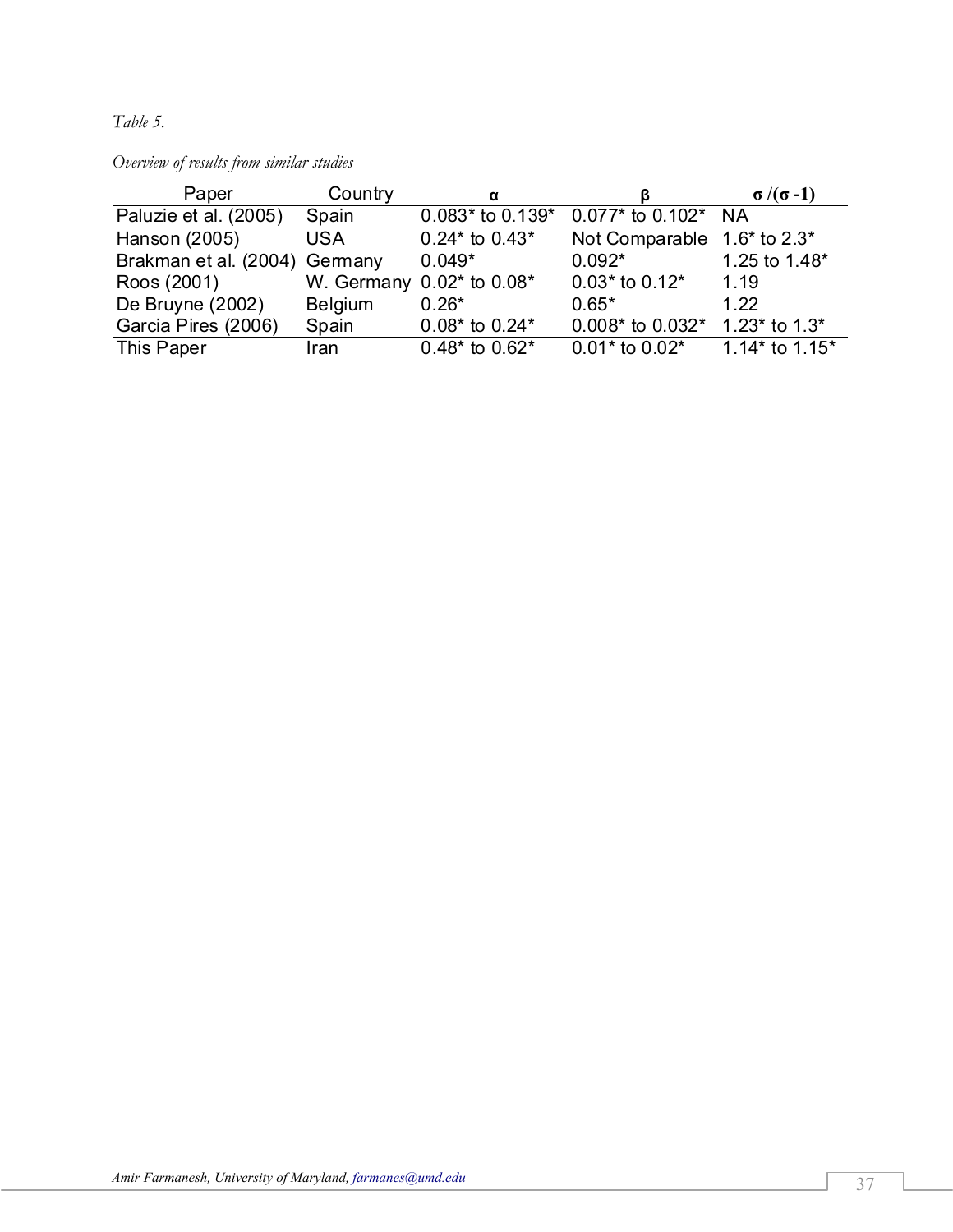*Table 5.* 

*Overview of results from similar studies* 

| Paper                         | Country        | α                               | в                           | $\sigma/(\sigma-1)$ |
|-------------------------------|----------------|---------------------------------|-----------------------------|---------------------|
| Paluzie et al. (2005)         | Spain          | $0.083*$ to 0.139*              | $0.077*$ to 0.102* NA       |                     |
| Hanson (2005)                 | <b>USA</b>     | $0.24*$ to $0.43*$              | Not Comparable 1.6* to 2.3* |                     |
| Brakman et al. (2004) Germany |                | $0.049*$                        | $0.092*$                    | 1.25 to 1.48*       |
| Roos (2001)                   |                | W. Germany $0.02^*$ to $0.08^*$ | $0.03*$ to $0.12*$          | 1.19                |
| De Bruyne (2002)              | <b>Belgium</b> | $0.26*$                         | $0.65*$                     | 1.22                |
| Garcia Pires (2006)           | Spain          | $0.08*$ to 0.24*                | $0.008*$ to $0.032*$        | 1.23* to $1.3*$     |
| This Paper                    | Iran           | $0.48*$ to $0.62*$              | $0.01*$ to $0.02*$          | 1.14* to $1.15*$    |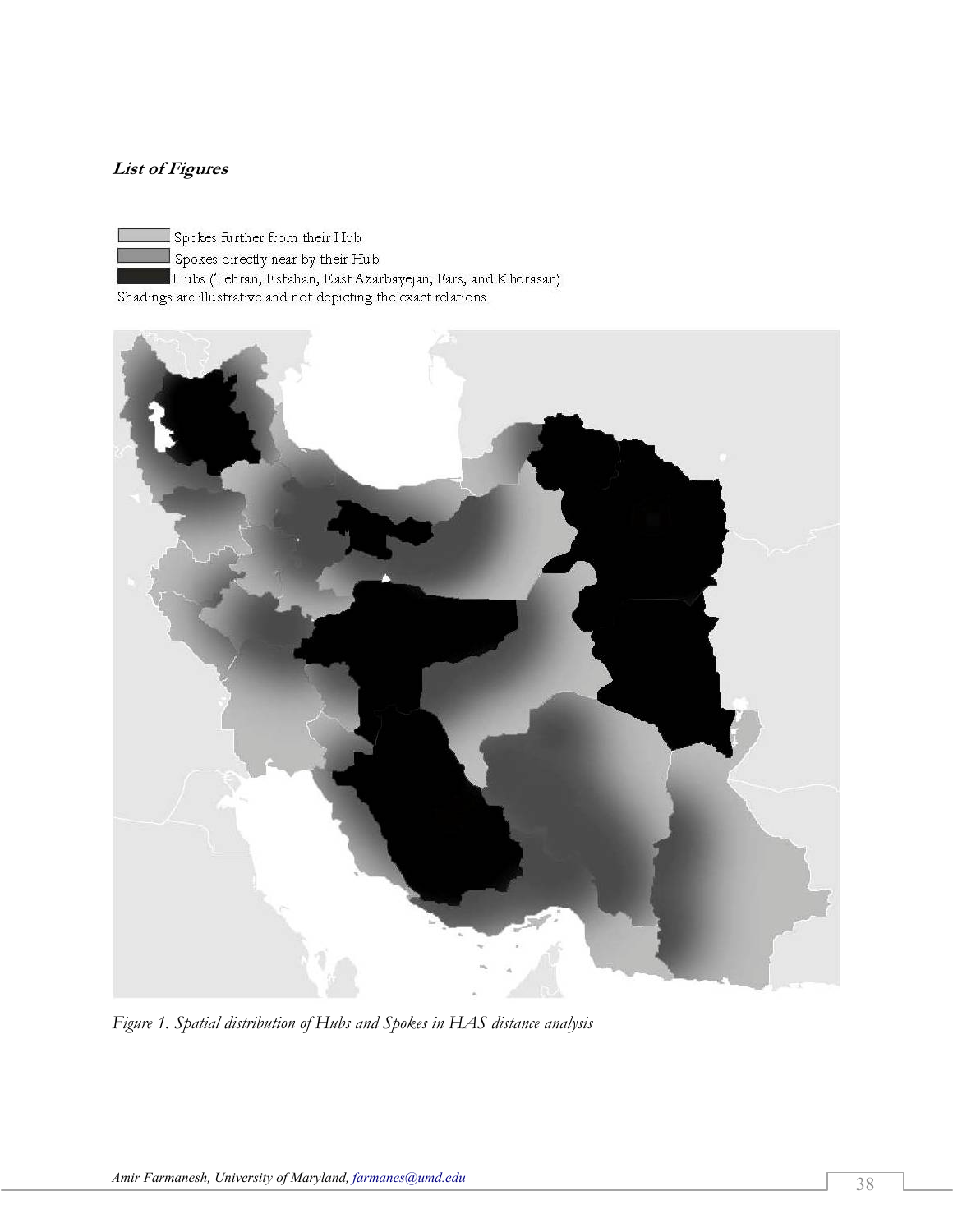# **List of Figures**

 $\Box$  Spokes further from their Hub Spokes directly near by their Hub Hubs (Tehran, Esfahan, East Azarbayejan, Fars, and Khorasan) Shadings are illustrative and not depicting the exact relations.



*Figure 1. Spatial distribution of Hubs and Spokes in HAS distance analysis*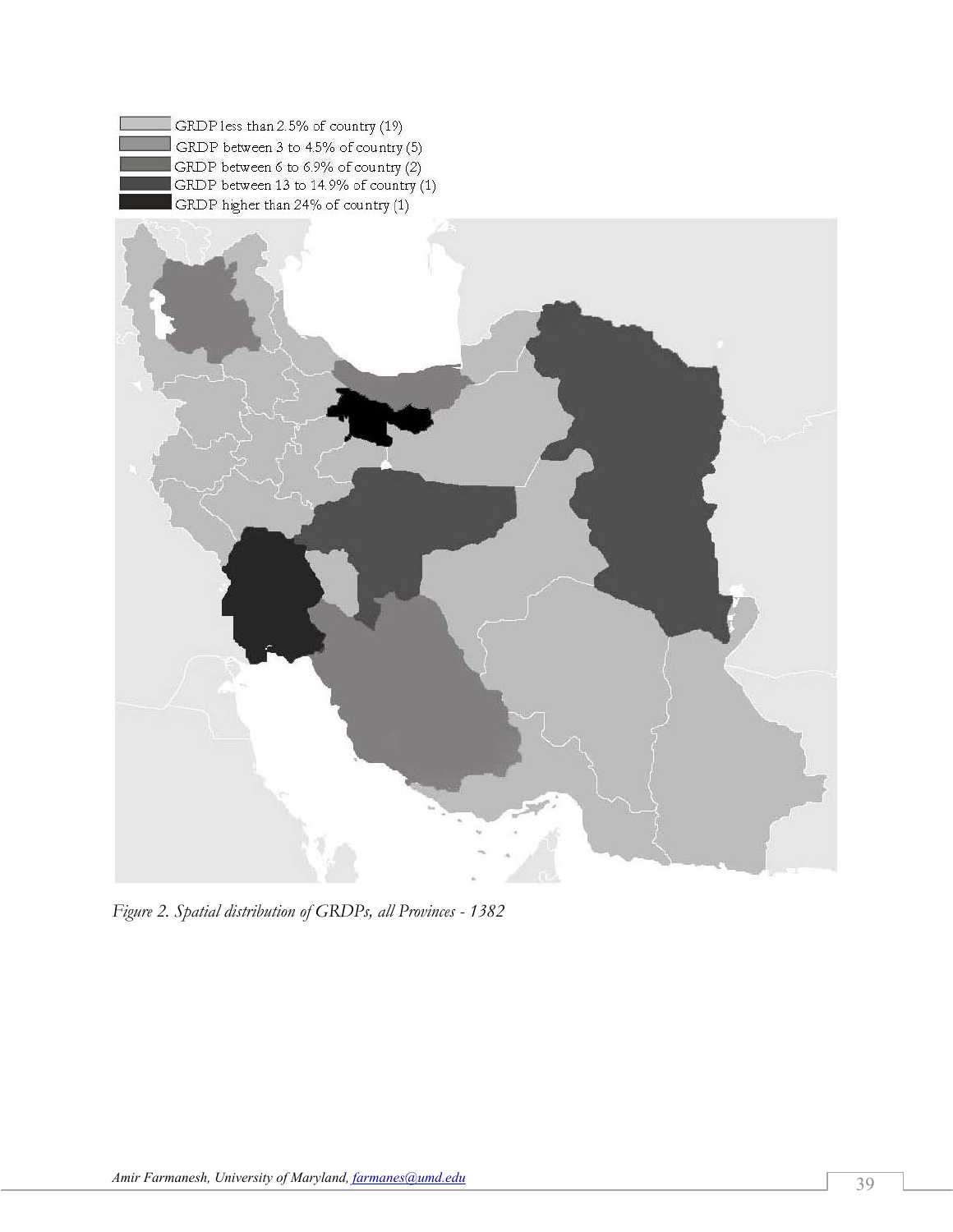

*Figure 2. Spatial distribution of GRDPs, all Provinces - 1382*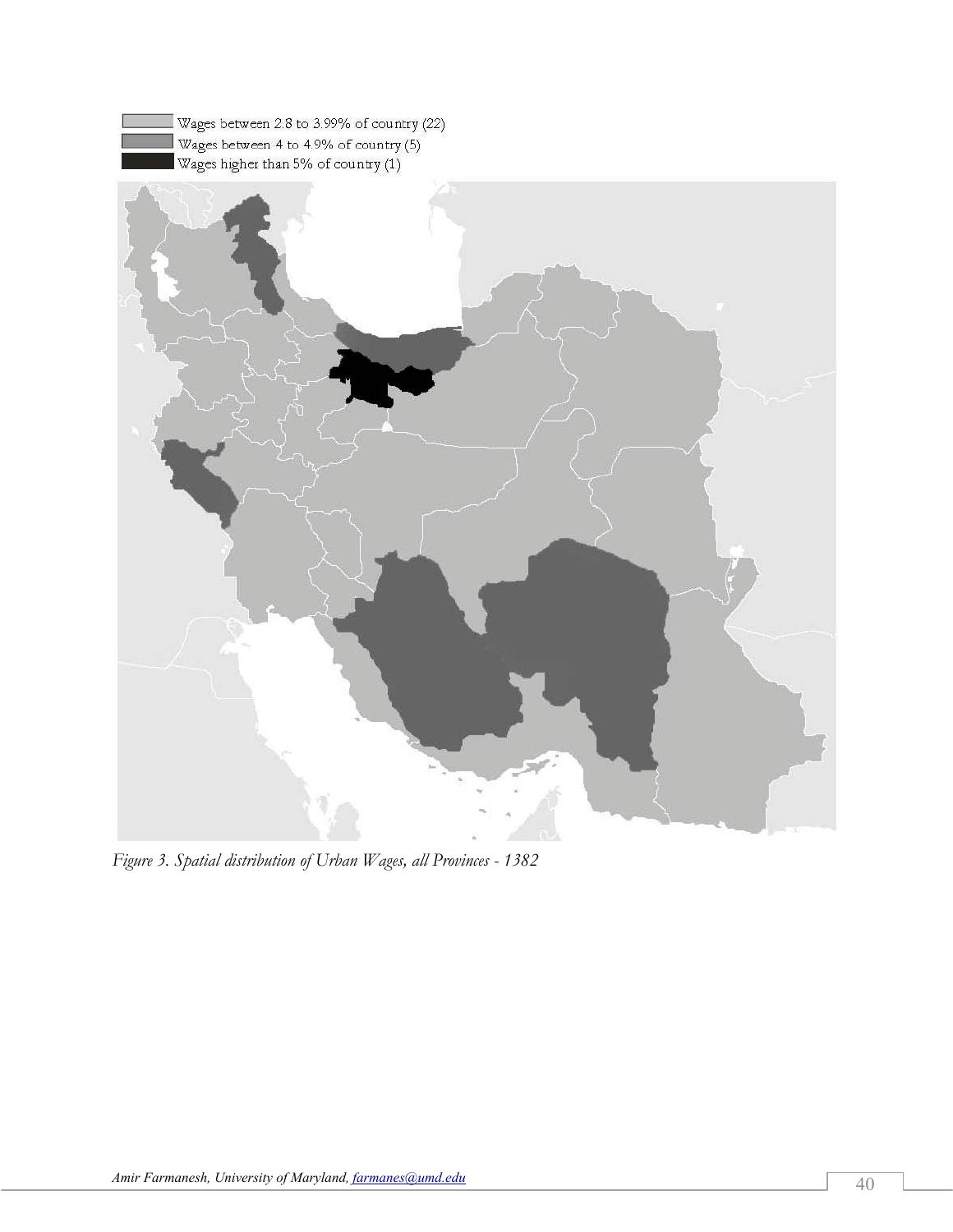

*Figure 3. Spatial distribution of Urban Wages, all Provinces - 1382*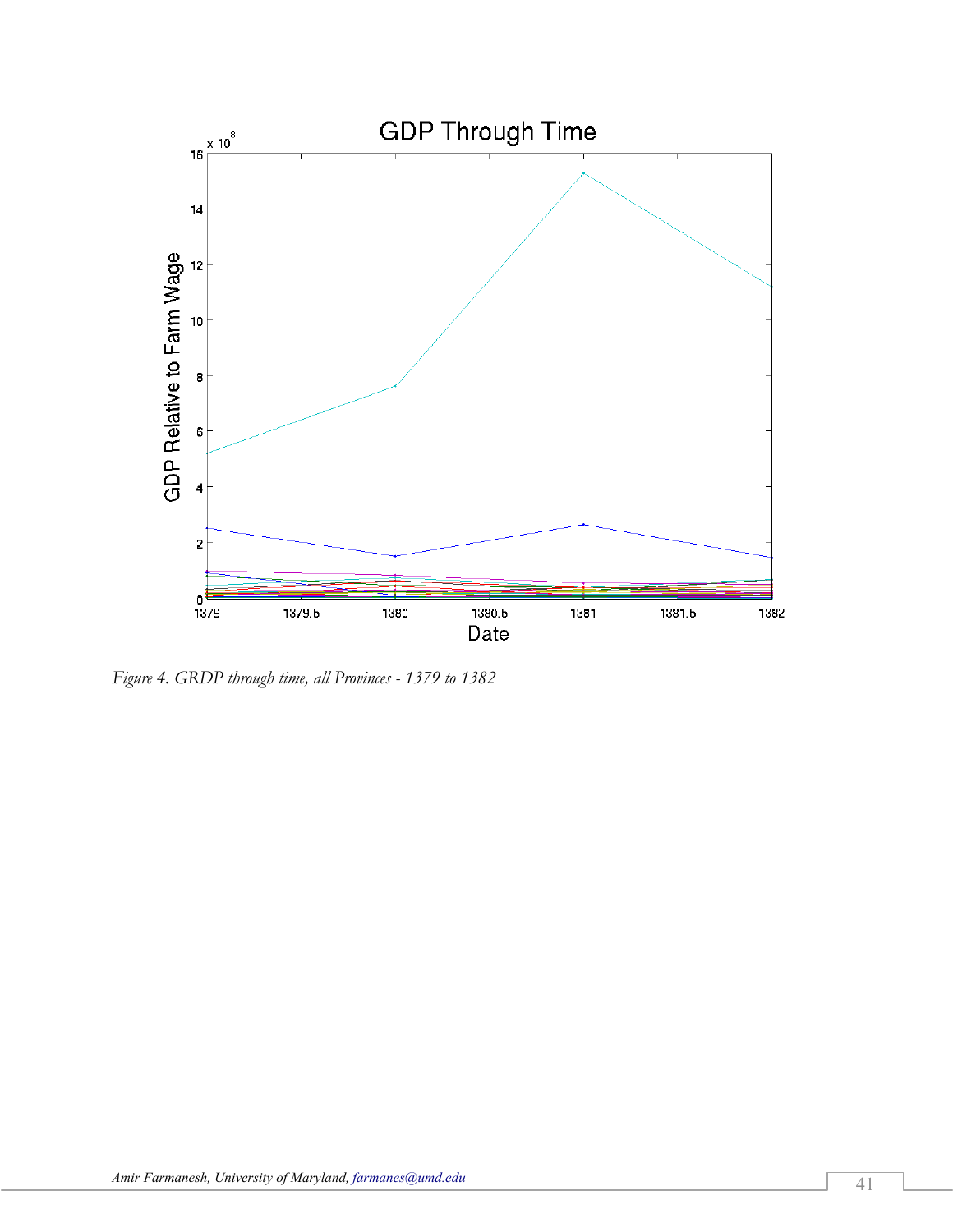

*Figure 4. GRDP through time, all Provinces - 1379 to 1382*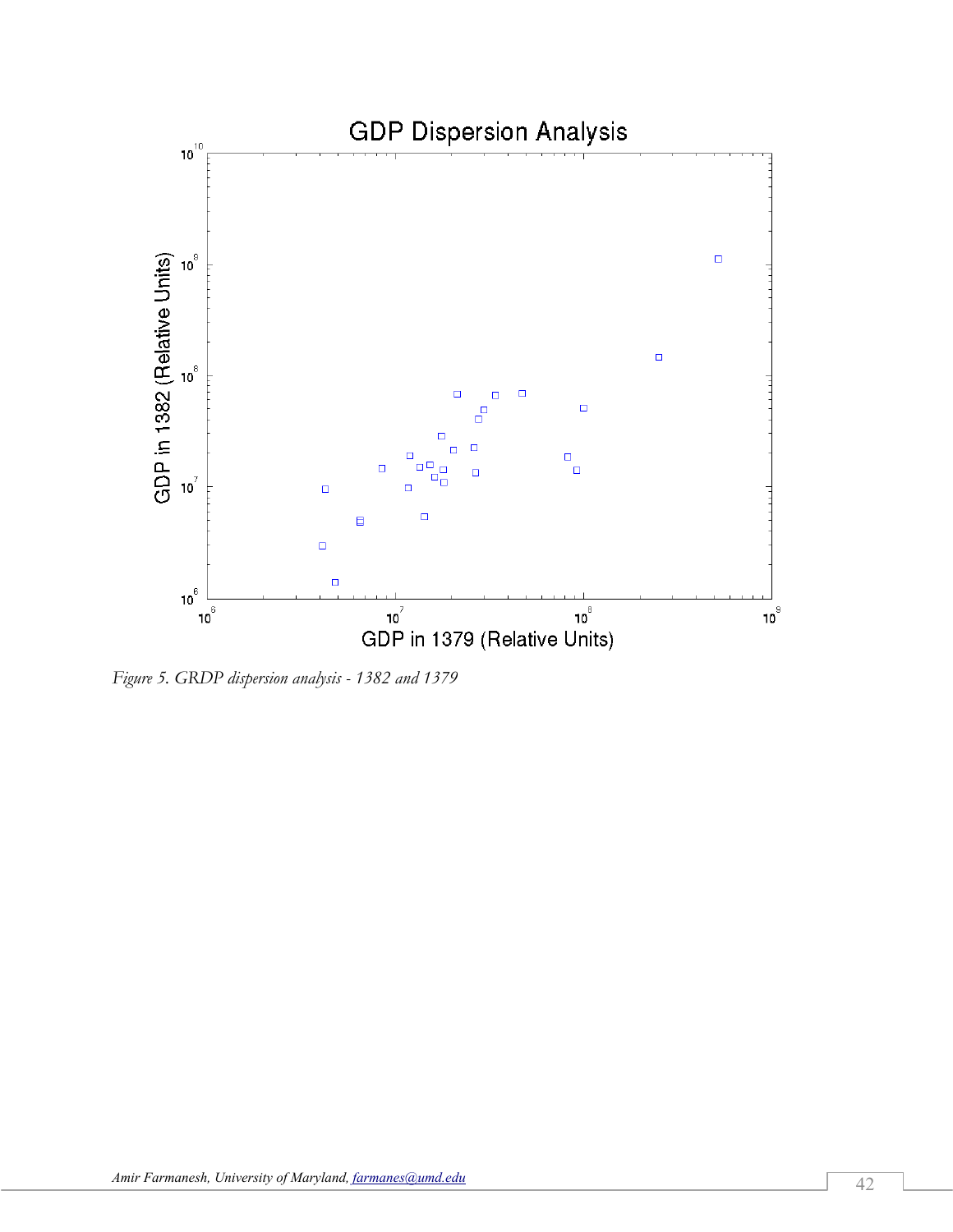

*Figure 5. GRDP dispersion analysis - 1382 and 1379*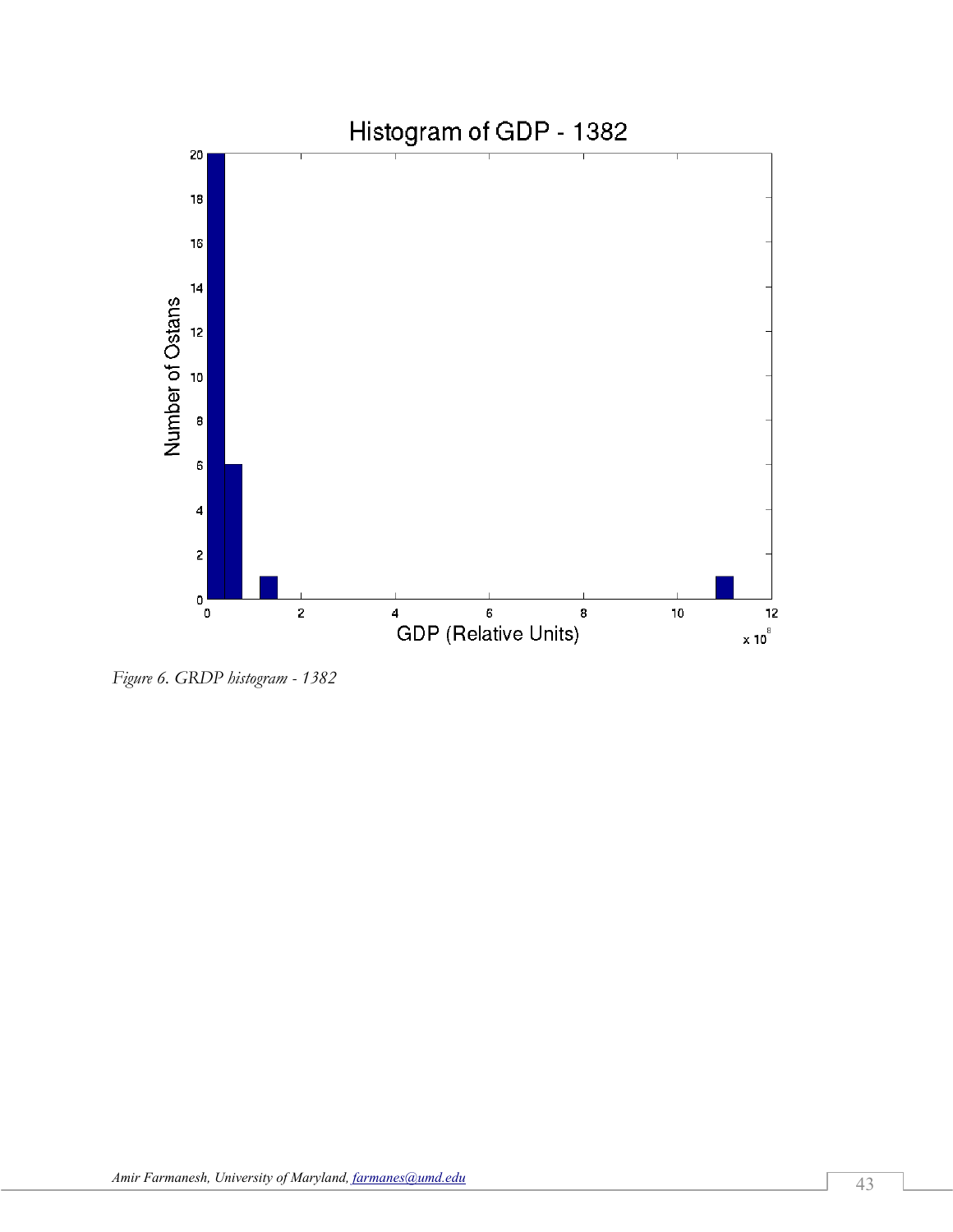

*Figure 6. GRDP histogram - 1382*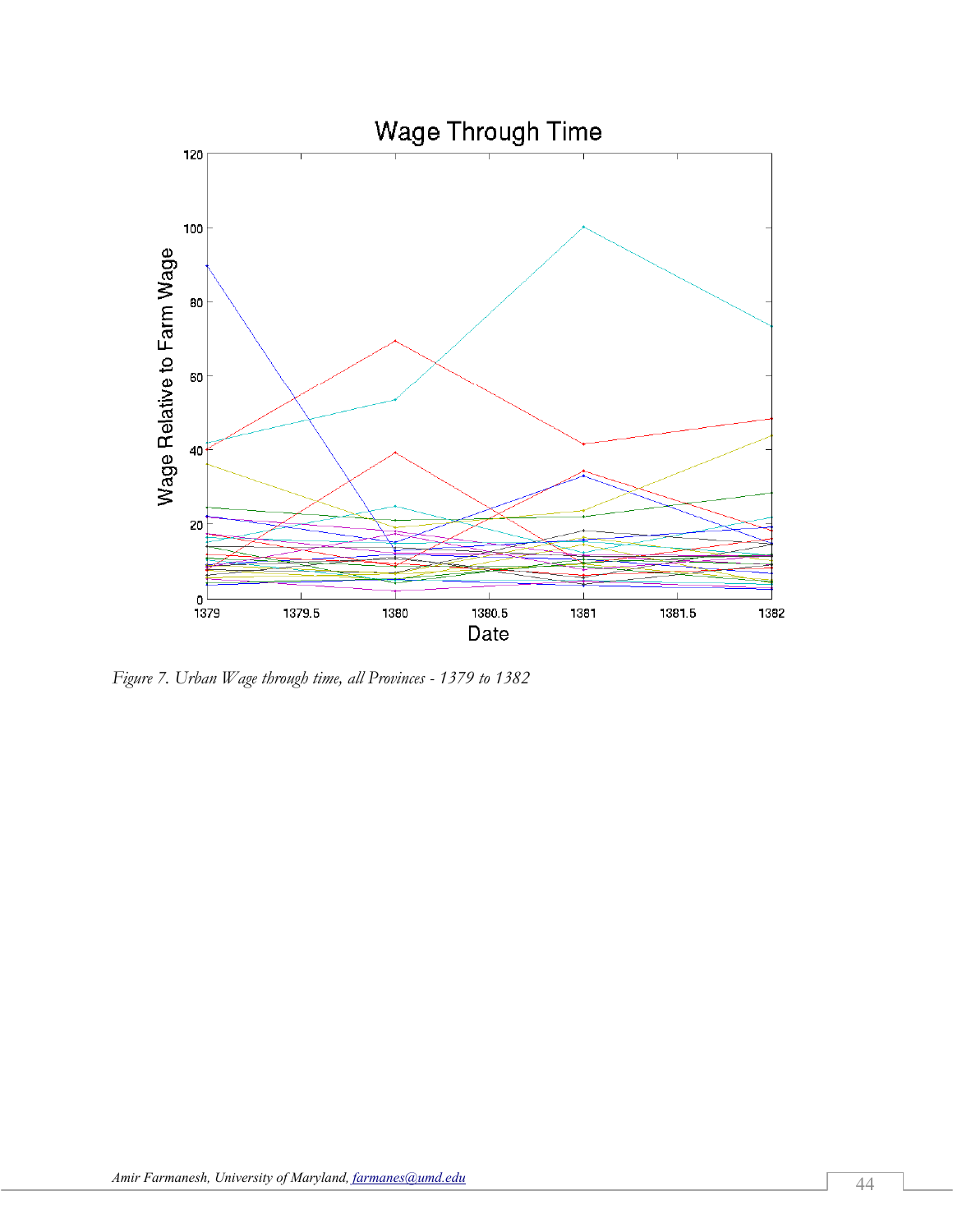

*Figure 7. Urban Wage through time, all Provinces - 1379 to 1382*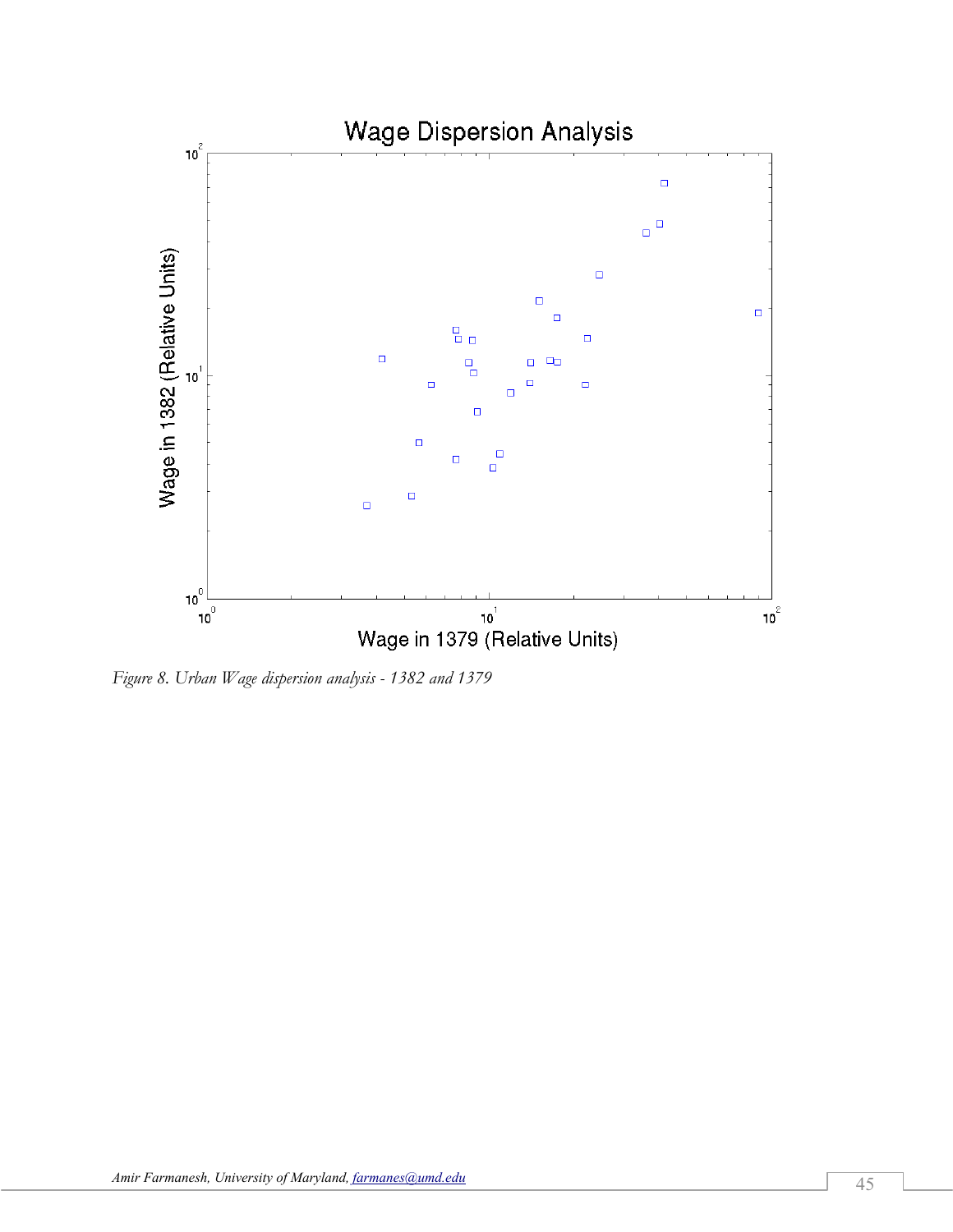

*Figure 8. Urban Wage dispersion analysis - 1382 and 1379*